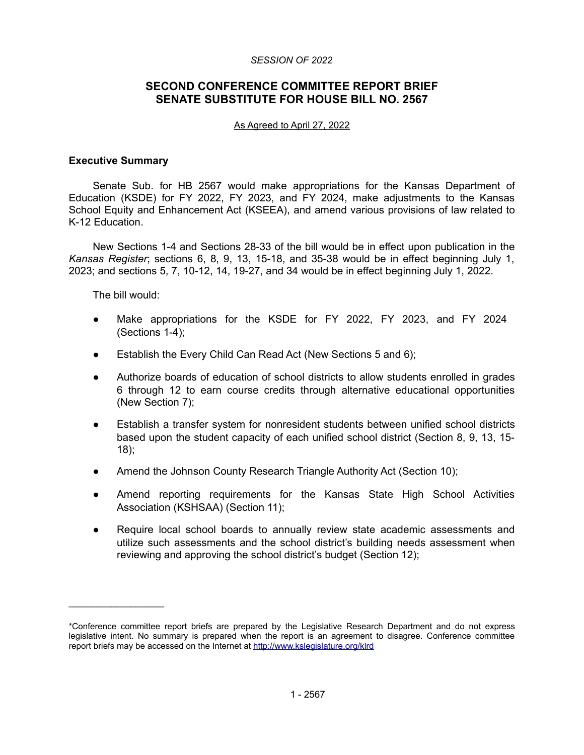#### *SESSION OF 2022*

# **SECOND CONFERENCE COMMITTEE REPORT BRIEF SENATE SUBSTITUTE FOR HOUSE BILL NO. 2567**

#### As Agreed to April 27, 2022

### **Executive Summary**

Senate Sub. for HB 2567 would make appropriations for the Kansas Department of Education (KSDE) for FY 2022, FY 2023, and FY 2024, make adjustments to the Kansas School Equity and Enhancement Act (KSEEA), and amend various provisions of law related to K-12 Education.

New Sections 1-4 and Sections 28-33 of the bill would be in effect upon publication in the *Kansas Register*; sections 6, 8, 9, 13, 15-18, and 35-38 would be in effect beginning July 1, 2023; and sections 5, 7, 10-12, 14, 19-27, and 34 would be in effect beginning July 1, 2022.

The bill would:

 $\mathcal{L}_\text{max}$  , where  $\mathcal{L}_\text{max}$ 

- Make appropriations for the KSDE for FY 2022, FY 2023, and FY 2024 (Sections 1-4);
- Establish the Every Child Can Read Act (New Sections 5 and 6);
- Authorize boards of education of school districts to allow students enrolled in grades 6 through 12 to earn course credits through alternative educational opportunities (New Section 7);
- Establish a transfer system for nonresident students between unified school districts based upon the student capacity of each unified school district (Section 8, 9, 13, 15- 18);
- Amend the Johnson County Research Triangle Authority Act (Section 10);
- Amend reporting requirements for the Kansas State High School Activities Association (KSHSAA) (Section 11);
- Require local school boards to annually review state academic assessments and utilize such assessments and the school district's building needs assessment when reviewing and approving the school district's budget (Section 12);

<sup>\*</sup>Conference committee report briefs are prepared by the Legislative Research Department and do not express legislative intent. No summary is prepared when the report is an agreement to disagree. Conference committee report briefs may be accessed on the Internet at<http://www.kslegislature.org/klrd>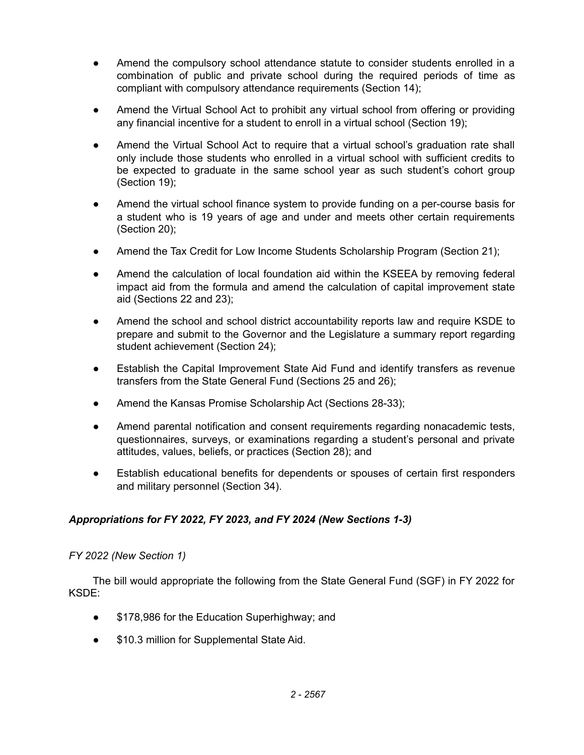- Amend the compulsory school attendance statute to consider students enrolled in a combination of public and private school during the required periods of time as compliant with compulsory attendance requirements (Section 14);
- Amend the Virtual School Act to prohibit any virtual school from offering or providing any financial incentive for a student to enroll in a virtual school (Section 19);
- Amend the Virtual School Act to require that a virtual school's graduation rate shall only include those students who enrolled in a virtual school with sufficient credits to be expected to graduate in the same school year as such student's cohort group (Section 19);
- Amend the virtual school finance system to provide funding on a per-course basis for a student who is 19 years of age and under and meets other certain requirements (Section 20);
- Amend the Tax Credit for Low Income Students Scholarship Program (Section 21);
- Amend the calculation of local foundation aid within the KSEEA by removing federal impact aid from the formula and amend the calculation of capital improvement state aid (Sections 22 and 23);
- Amend the school and school district accountability reports law and require KSDE to prepare and submit to the Governor and the Legislature a summary report regarding student achievement (Section 24);
- Establish the Capital Improvement State Aid Fund and identify transfers as revenue transfers from the State General Fund (Sections 25 and 26);
- Amend the Kansas Promise Scholarship Act (Sections 28-33);
- Amend parental notification and consent requirements regarding nonacademic tests, questionnaires, surveys, or examinations regarding a student's personal and private attitudes, values, beliefs, or practices (Section 28); and
- Establish educational benefits for dependents or spouses of certain first responders and military personnel (Section 34).

# *Appropriations for FY 2022, FY 2023, and FY 2024 (New Sections 1-3)*

# *FY 2022 (New Section 1)*

The bill would appropriate the following from the State General Fund (SGF) in FY 2022 for KSDE:

- \$178,986 for the Education Superhighway; and
- \$10.3 million for Supplemental State Aid.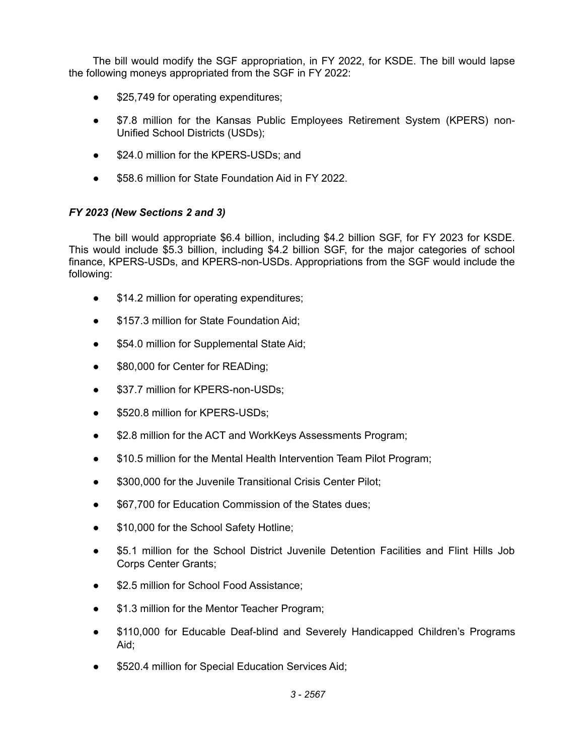The bill would modify the SGF appropriation, in FY 2022, for KSDE. The bill would lapse the following moneys appropriated from the SGF in FY 2022:

- \$25,749 for operating expenditures;
- \$7.8 million for the Kansas Public Employees Retirement System (KPERS) non-Unified School Districts (USDs);
- \$24.0 million for the KPERS-USDs; and
- \$58.6 million for State Foundation Aid in FY 2022.

# *FY 2023 (New Sections 2 and 3)*

The bill would appropriate \$6.4 billion, including \$4.2 billion SGF, for FY 2023 for KSDE. This would include \$5.3 billion, including \$4.2 billion SGF, for the major categories of school finance, KPERS-USDs, and KPERS-non-USDs. Appropriations from the SGF would include the following:

- \$14.2 million for operating expenditures;
- \$157.3 million for State Foundation Aid;
- \$54.0 million for Supplemental State Aid;
- \$80,000 for Center for READing;
- \$37.7 million for KPERS-non-USDs;
- \$520.8 million for KPERS-USDs;
- \$2.8 million for the ACT and WorkKeys Assessments Program;
- \$10.5 million for the Mental Health Intervention Team Pilot Program;
- \$300,000 for the Juvenile Transitional Crisis Center Pilot;
- \$67,700 for Education Commission of the States dues;
- \$10,000 for the School Safety Hotline;
- \$5.1 million for the School District Juvenile Detention Facilities and Flint Hills Job Corps Center Grants;
- \$2.5 million for School Food Assistance;
- \$1.3 million for the Mentor Teacher Program;
- \$110,000 for Educable Deaf-blind and Severely Handicapped Children's Programs Aid;
- \$520.4 million for Special Education Services Aid;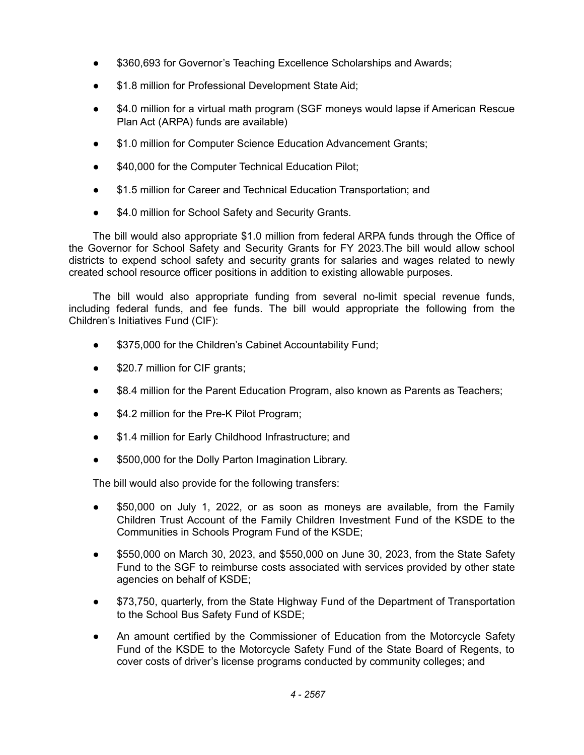- \$360,693 for Governor's Teaching Excellence Scholarships and Awards;
- \$1.8 million for Professional Development State Aid;
- \$4.0 million for a virtual math program (SGF moneys would lapse if American Rescue Plan Act (ARPA) funds are available)
- \$1.0 million for Computer Science Education Advancement Grants;
- \$40,000 for the Computer Technical Education Pilot;
- \$1.5 million for Career and Technical Education Transportation; and
- \$4.0 million for School Safety and Security Grants.

The bill would also appropriate \$1.0 million from federal ARPA funds through the Office of the Governor for School Safety and Security Grants for FY 2023.The bill would allow school districts to expend school safety and security grants for salaries and wages related to newly created school resource officer positions in addition to existing allowable purposes.

The bill would also appropriate funding from several no-limit special revenue funds, including federal funds, and fee funds. The bill would appropriate the following from the Children's Initiatives Fund (CIF):

- \$375,000 for the Children's Cabinet Accountability Fund;
- \$20.7 million for CIF grants;
- \$8.4 million for the Parent Education Program, also known as Parents as Teachers;
- \$4.2 million for the Pre-K Pilot Program;
- \$1.4 million for Early Childhood Infrastructure; and
- \$500,000 for the Dolly Parton Imagination Library.

The bill would also provide for the following transfers:

- \$50,000 on July 1, 2022, or as soon as moneys are available, from the Family Children Trust Account of the Family Children Investment Fund of the KSDE to the Communities in Schools Program Fund of the KSDE;
- \$550,000 on March 30, 2023, and \$550,000 on June 30, 2023, from the State Safety Fund to the SGF to reimburse costs associated with services provided by other state agencies on behalf of KSDE;
- \$73,750, quarterly, from the State Highway Fund of the Department of Transportation to the School Bus Safety Fund of KSDE;
- An amount certified by the Commissioner of Education from the Motorcycle Safety Fund of the KSDE to the Motorcycle Safety Fund of the State Board of Regents, to cover costs of driver's license programs conducted by community colleges; and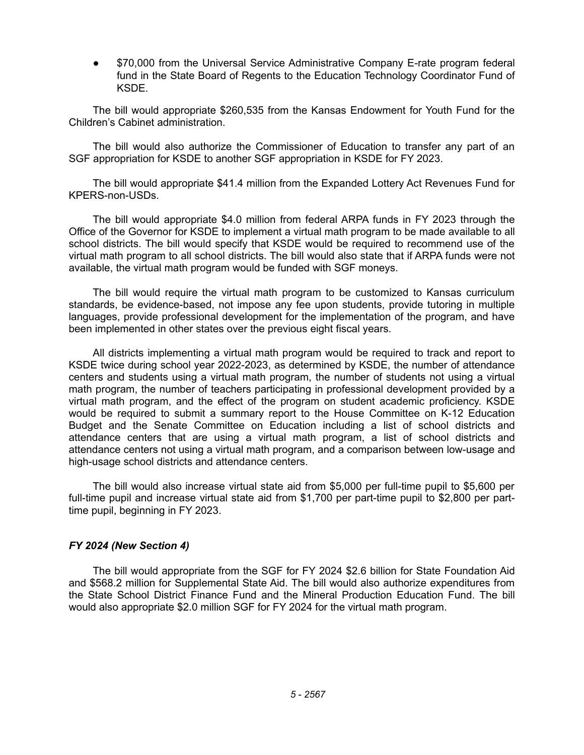\$70,000 from the Universal Service Administrative Company E-rate program federal fund in the State Board of Regents to the Education Technology Coordinator Fund of KSDE.

The bill would appropriate \$260,535 from the Kansas Endowment for Youth Fund for the Children's Cabinet administration.

The bill would also authorize the Commissioner of Education to transfer any part of an SGF appropriation for KSDE to another SGF appropriation in KSDE for FY 2023.

The bill would appropriate \$41.4 million from the Expanded Lottery Act Revenues Fund for KPERS-non-USDs.

The bill would appropriate \$4.0 million from federal ARPA funds in FY 2023 through the Office of the Governor for KSDE to implement a virtual math program to be made available to all school districts. The bill would specify that KSDE would be required to recommend use of the virtual math program to all school districts. The bill would also state that if ARPA funds were not available, the virtual math program would be funded with SGF moneys.

The bill would require the virtual math program to be customized to Kansas curriculum standards, be evidence-based, not impose any fee upon students, provide tutoring in multiple languages, provide professional development for the implementation of the program, and have been implemented in other states over the previous eight fiscal years.

All districts implementing a virtual math program would be required to track and report to KSDE twice during school year 2022-2023, as determined by KSDE, the number of attendance centers and students using a virtual math program, the number of students not using a virtual math program, the number of teachers participating in professional development provided by a virtual math program, and the effect of the program on student academic proficiency. KSDE would be required to submit a summary report to the House Committee on K-12 Education Budget and the Senate Committee on Education including a list of school districts and attendance centers that are using a virtual math program, a list of school districts and attendance centers not using a virtual math program, and a comparison between low-usage and high-usage school districts and attendance centers.

The bill would also increase virtual state aid from \$5,000 per full-time pupil to \$5,600 per full-time pupil and increase virtual state aid from \$1,700 per part-time pupil to \$2,800 per parttime pupil, beginning in FY 2023.

### *FY 2024 (New Section 4)*

The bill would appropriate from the SGF for FY 2024 \$2.6 billion for State Foundation Aid and \$568.2 million for Supplemental State Aid. The bill would also authorize expenditures from the State School District Finance Fund and the Mineral Production Education Fund. The bill would also appropriate \$2.0 million SGF for FY 2024 for the virtual math program.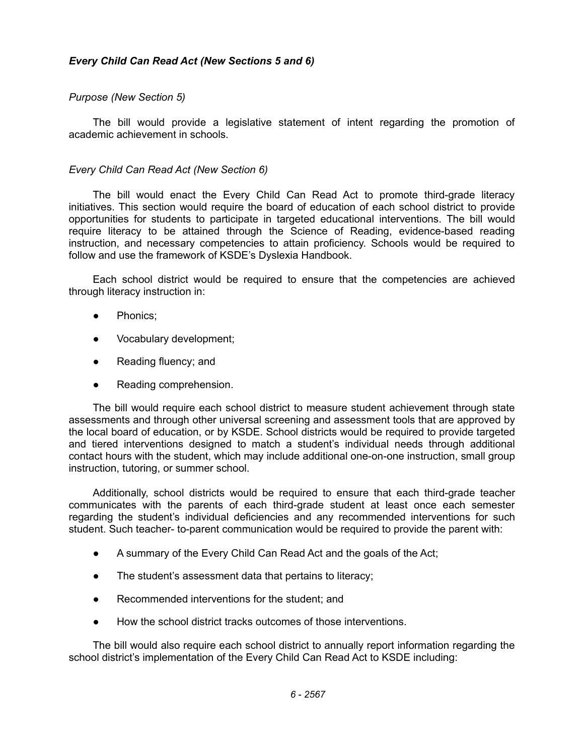# *Every Child Can Read Act (New Sections 5 and 6)*

# *Purpose (New Section 5)*

The bill would provide a legislative statement of intent regarding the promotion of academic achievement in schools.

## *Every Child Can Read Act (New Section 6)*

The bill would enact the Every Child Can Read Act to promote third-grade literacy initiatives. This section would require the board of education of each school district to provide opportunities for students to participate in targeted educational interventions. The bill would require literacy to be attained through the Science of Reading, evidence-based reading instruction, and necessary competencies to attain proficiency. Schools would be required to follow and use the framework of KSDE's Dyslexia Handbook.

Each school district would be required to ensure that the competencies are achieved through literacy instruction in:

- Phonics:
- Vocabulary development;
- Reading fluency; and
- Reading comprehension.

The bill would require each school district to measure student achievement through state assessments and through other universal screening and assessment tools that are approved by the local board of education, or by KSDE. School districts would be required to provide targeted and tiered interventions designed to match a student's individual needs through additional contact hours with the student, which may include additional one-on-one instruction, small group instruction, tutoring, or summer school.

Additionally, school districts would be required to ensure that each third-grade teacher communicates with the parents of each third-grade student at least once each semester regarding the student's individual deficiencies and any recommended interventions for such student. Such teacher- to-parent communication would be required to provide the parent with:

- A summary of the Every Child Can Read Act and the goals of the Act;
- The student's assessment data that pertains to literacy;
- Recommended interventions for the student; and
- How the school district tracks outcomes of those interventions.

The bill would also require each school district to annually report information regarding the school district's implementation of the Every Child Can Read Act to KSDE including: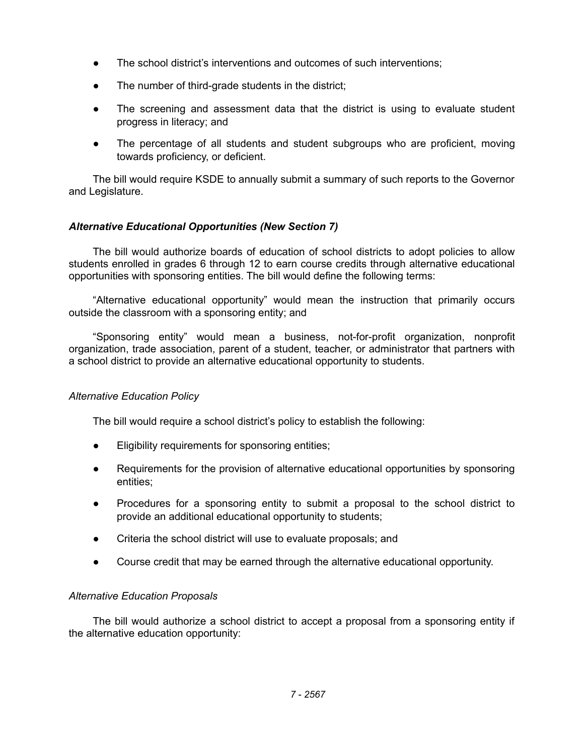- The school district's interventions and outcomes of such interventions;
- The number of third-grade students in the district;
- The screening and assessment data that the district is using to evaluate student progress in literacy; and
- The percentage of all students and student subgroups who are proficient, moving towards proficiency, or deficient.

The bill would require KSDE to annually submit a summary of such reports to the Governor and Legislature.

# *Alternative Educational Opportunities (New Section 7)*

The bill would authorize boards of education of school districts to adopt policies to allow students enrolled in grades 6 through 12 to earn course credits through alternative educational opportunities with sponsoring entities. The bill would define the following terms:

"Alternative educational opportunity" would mean the instruction that primarily occurs outside the classroom with a sponsoring entity; and

"Sponsoring entity" would mean a business, not-for-profit organization, nonprofit organization, trade association, parent of a student, teacher, or administrator that partners with a school district to provide an alternative educational opportunity to students.

# *Alternative Education Policy*

The bill would require a school district's policy to establish the following:

- Eligibility requirements for sponsoring entities;
- Requirements for the provision of alternative educational opportunities by sponsoring entities;
- Procedures for a sponsoring entity to submit a proposal to the school district to provide an additional educational opportunity to students;
- Criteria the school district will use to evaluate proposals; and
- Course credit that may be earned through the alternative educational opportunity.

#### *Alternative Education Proposals*

The bill would authorize a school district to accept a proposal from a sponsoring entity if the alternative education opportunity: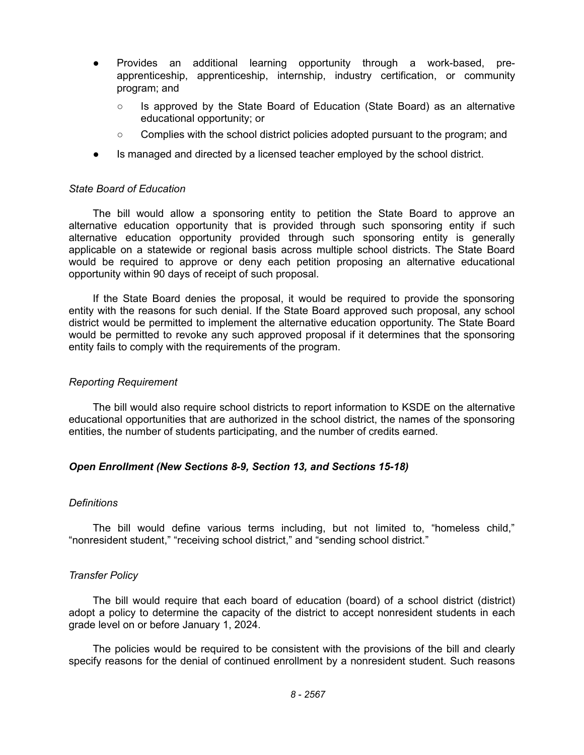- Provides an additional learning opportunity through a work-based, preapprenticeship, apprenticeship, internship, industry certification, or community program; and
	- Is approved by the State Board of Education (State Board) as an alternative educational opportunity; or
	- Complies with the school district policies adopted pursuant to the program; and
- Is managed and directed by a licensed teacher employed by the school district.

### *State Board of Education*

The bill would allow a sponsoring entity to petition the State Board to approve an alternative education opportunity that is provided through such sponsoring entity if such alternative education opportunity provided through such sponsoring entity is generally applicable on a statewide or regional basis across multiple school districts. The State Board would be required to approve or deny each petition proposing an alternative educational opportunity within 90 days of receipt of such proposal.

If the State Board denies the proposal, it would be required to provide the sponsoring entity with the reasons for such denial. If the State Board approved such proposal, any school district would be permitted to implement the alternative education opportunity. The State Board would be permitted to revoke any such approved proposal if it determines that the sponsoring entity fails to comply with the requirements of the program.

### *Reporting Requirement*

The bill would also require school districts to report information to KSDE on the alternative educational opportunities that are authorized in the school district, the names of the sponsoring entities, the number of students participating, and the number of credits earned.

# *Open Enrollment (New Sections 8-9, Section 13, and Sections 15-18)*

#### *Definitions*

The bill would define various terms including, but not limited to, "homeless child," "nonresident student," "receiving school district," and "sending school district."

# *Transfer Policy*

The bill would require that each board of education (board) of a school district (district) adopt a policy to determine the capacity of the district to accept nonresident students in each grade level on or before January 1, 2024.

The policies would be required to be consistent with the provisions of the bill and clearly specify reasons for the denial of continued enrollment by a nonresident student. Such reasons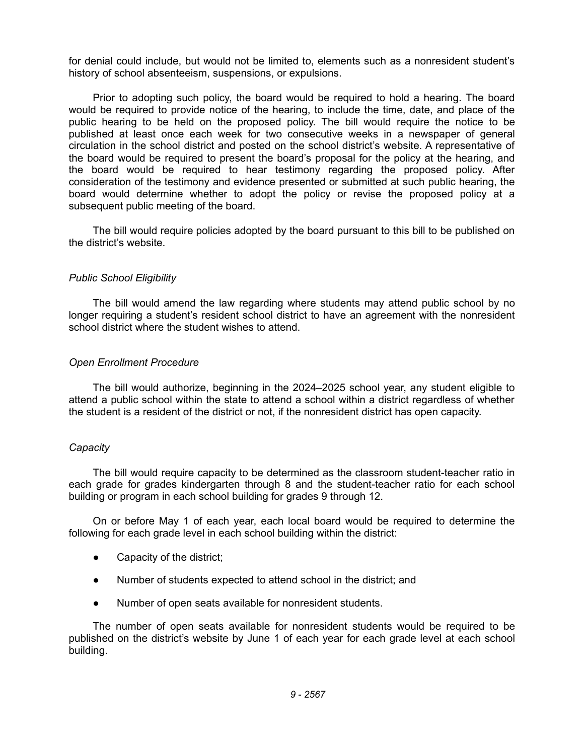for denial could include, but would not be limited to, elements such as a nonresident student's history of school absenteeism, suspensions, or expulsions.

Prior to adopting such policy, the board would be required to hold a hearing. The board would be required to provide notice of the hearing, to include the time, date, and place of the public hearing to be held on the proposed policy. The bill would require the notice to be published at least once each week for two consecutive weeks in a newspaper of general circulation in the school district and posted on the school district's website. A representative of the board would be required to present the board's proposal for the policy at the hearing, and the board would be required to hear testimony regarding the proposed policy. After consideration of the testimony and evidence presented or submitted at such public hearing, the board would determine whether to adopt the policy or revise the proposed policy at a subsequent public meeting of the board.

The bill would require policies adopted by the board pursuant to this bill to be published on the district's website.

## *Public School Eligibility*

The bill would amend the law regarding where students may attend public school by no longer requiring a student's resident school district to have an agreement with the nonresident school district where the student wishes to attend.

## *Open Enrollment Procedure*

The bill would authorize, beginning in the 2024–2025 school year, any student eligible to attend a public school within the state to attend a school within a district regardless of whether the student is a resident of the district or not, if the nonresident district has open capacity.

#### *Capacity*

The bill would require capacity to be determined as the classroom student-teacher ratio in each grade for grades kindergarten through 8 and the student-teacher ratio for each school building or program in each school building for grades 9 through 12.

On or before May 1 of each year, each local board would be required to determine the following for each grade level in each school building within the district:

- Capacity of the district;
- Number of students expected to attend school in the district; and
- Number of open seats available for nonresident students.

The number of open seats available for nonresident students would be required to be published on the district's website by June 1 of each year for each grade level at each school building.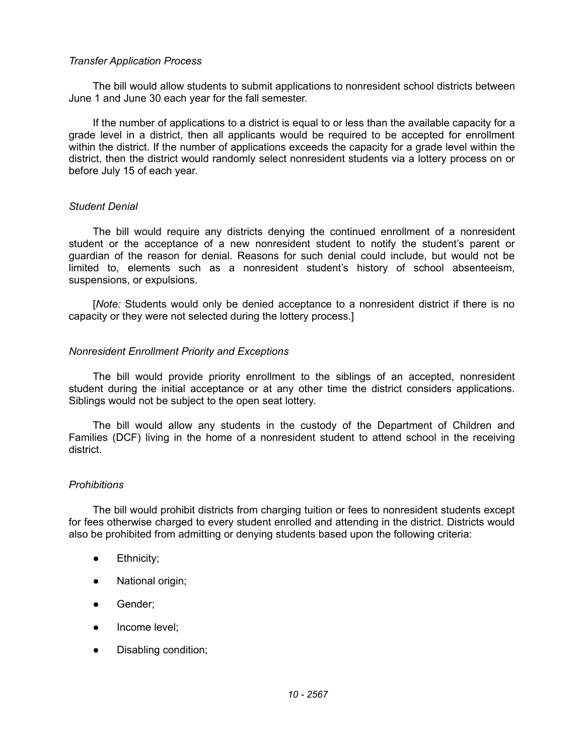### *Transfer Application Process*

The bill would allow students to submit applications to nonresident school districts between June 1 and June 30 each year for the fall semester.

If the number of applications to a district is equal to or less than the available capacity for a grade level in a district, then all applicants would be required to be accepted for enrollment within the district. If the number of applications exceeds the capacity for a grade level within the district, then the district would randomly select nonresident students via a lottery process on or before July 15 of each year.

## *Student Denial*

The bill would require any districts denying the continued enrollment of a nonresident student or the acceptance of a new nonresident student to notify the student's parent or guardian of the reason for denial. Reasons for such denial could include, but would not be limited to, elements such as a nonresident student's history of school absenteeism, suspensions, or expulsions.

[*Note:* Students would only be denied acceptance to a nonresident district if there is no capacity or they were not selected during the lottery process.]

## *Nonresident Enrollment Priority and Exceptions*

The bill would provide priority enrollment to the siblings of an accepted, nonresident student during the initial acceptance or at any other time the district considers applications. Siblings would not be subject to the open seat lottery.

The bill would allow any students in the custody of the Department of Children and Families (DCF) living in the home of a nonresident student to attend school in the receiving district.

#### *Prohibitions*

The bill would prohibit districts from charging tuition or fees to nonresident students except for fees otherwise charged to every student enrolled and attending in the district. Districts would also be prohibited from admitting or denying students based upon the following criteria:

- Ethnicity;
- National origin;
- Gender:
- Income level:
- Disabling condition;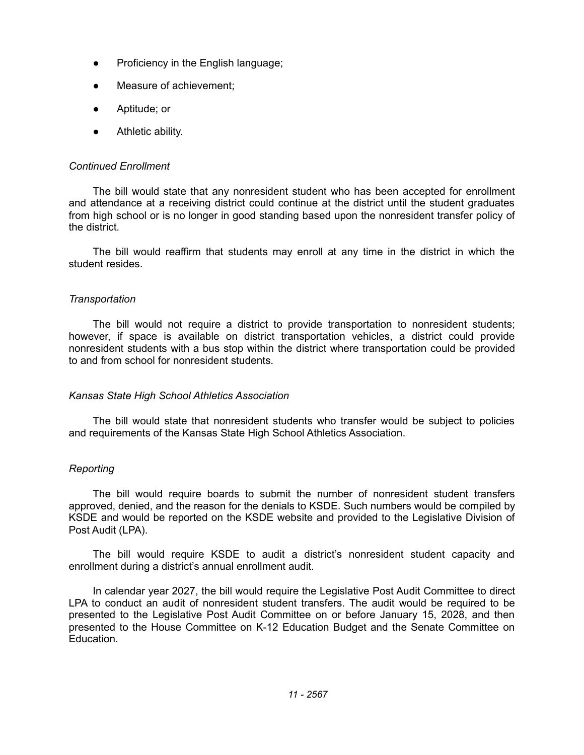- Proficiency in the English language;
- Measure of achievement:
- Aptitude; or
- Athletic ability.

## *Continued Enrollment*

The bill would state that any nonresident student who has been accepted for enrollment and attendance at a receiving district could continue at the district until the student graduates from high school or is no longer in good standing based upon the nonresident transfer policy of the district.

The bill would reaffirm that students may enroll at any time in the district in which the student resides.

## *Transportation*

The bill would not require a district to provide transportation to nonresident students; however, if space is available on district transportation vehicles, a district could provide nonresident students with a bus stop within the district where transportation could be provided to and from school for nonresident students.

#### *Kansas State High School Athletics Association*

The bill would state that nonresident students who transfer would be subject to policies and requirements of the Kansas State High School Athletics Association.

#### *Reporting*

The bill would require boards to submit the number of nonresident student transfers approved, denied, and the reason for the denials to KSDE. Such numbers would be compiled by KSDE and would be reported on the KSDE website and provided to the Legislative Division of Post Audit (LPA).

The bill would require KSDE to audit a district's nonresident student capacity and enrollment during a district's annual enrollment audit.

In calendar year 2027, the bill would require the Legislative Post Audit Committee to direct LPA to conduct an audit of nonresident student transfers. The audit would be required to be presented to the Legislative Post Audit Committee on or before January 15, 2028, and then presented to the House Committee on K-12 Education Budget and the Senate Committee on Education.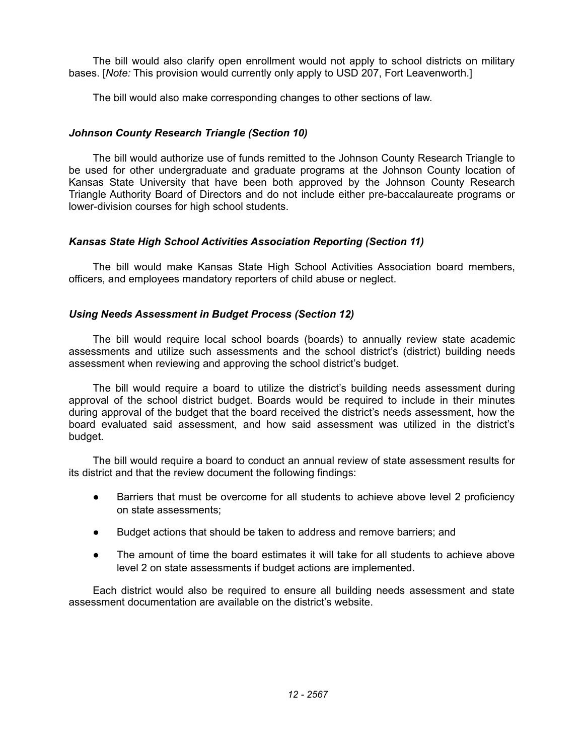The bill would also clarify open enrollment would not apply to school districts on military bases. [*Note:* This provision would currently only apply to USD 207, Fort Leavenworth.]

The bill would also make corresponding changes to other sections of law.

# *Johnson County Research Triangle (Section 10)*

The bill would authorize use of funds remitted to the Johnson County Research Triangle to be used for other undergraduate and graduate programs at the Johnson County location of Kansas State University that have been both approved by the Johnson County Research Triangle Authority Board of Directors and do not include either pre-baccalaureate programs or lower-division courses for high school students.

# *Kansas State High School Activities Association Reporting (Section 11)*

The bill would make Kansas State High School Activities Association board members, officers, and employees mandatory reporters of child abuse or neglect.

# *Using Needs Assessment in Budget Process (Section 12)*

The bill would require local school boards (boards) to annually review state academic assessments and utilize such assessments and the school district's (district) building needs assessment when reviewing and approving the school district's budget.

The bill would require a board to utilize the district's building needs assessment during approval of the school district budget. Boards would be required to include in their minutes during approval of the budget that the board received the district's needs assessment, how the board evaluated said assessment, and how said assessment was utilized in the district's budget.

The bill would require a board to conduct an annual review of state assessment results for its district and that the review document the following findings:

- Barriers that must be overcome for all students to achieve above level 2 proficiency on state assessments;
- Budget actions that should be taken to address and remove barriers; and
- The amount of time the board estimates it will take for all students to achieve above level 2 on state assessments if budget actions are implemented.

Each district would also be required to ensure all building needs assessment and state assessment documentation are available on the district's website.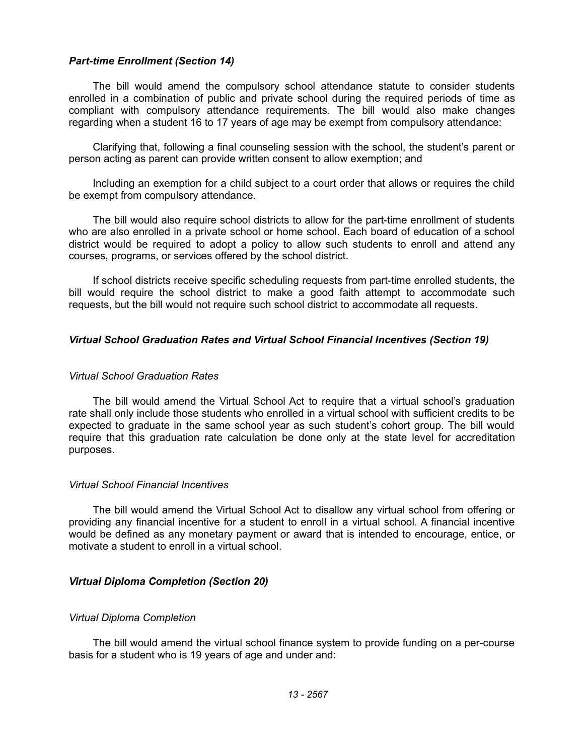### *Part-time Enrollment (Section 14)*

The bill would amend the compulsory school attendance statute to consider students enrolled in a combination of public and private school during the required periods of time as compliant with compulsory attendance requirements. The bill would also make changes regarding when a student 16 to 17 years of age may be exempt from compulsory attendance:

Clarifying that, following a final counseling session with the school, the student's parent or person acting as parent can provide written consent to allow exemption; and

Including an exemption for a child subject to a court order that allows or requires the child be exempt from compulsory attendance.

The bill would also require school districts to allow for the part-time enrollment of students who are also enrolled in a private school or home school. Each board of education of a school district would be required to adopt a policy to allow such students to enroll and attend any courses, programs, or services offered by the school district.

If school districts receive specific scheduling requests from part-time enrolled students, the bill would require the school district to make a good faith attempt to accommodate such requests, but the bill would not require such school district to accommodate all requests.

## *Virtual School Graduation Rates and Virtual School Financial Incentives (Section 19)*

#### *Virtual School Graduation Rates*

The bill would amend the Virtual School Act to require that a virtual school's graduation rate shall only include those students who enrolled in a virtual school with sufficient credits to be expected to graduate in the same school year as such student's cohort group. The bill would require that this graduation rate calculation be done only at the state level for accreditation purposes.

#### *Virtual School Financial Incentives*

The bill would amend the Virtual School Act to disallow any virtual school from offering or providing any financial incentive for a student to enroll in a virtual school. A financial incentive would be defined as any monetary payment or award that is intended to encourage, entice, or motivate a student to enroll in a virtual school.

#### *Virtual Diploma Completion (Section 20)*

#### *Virtual Diploma Completion*

The bill would amend the virtual school finance system to provide funding on a per-course basis for a student who is 19 years of age and under and: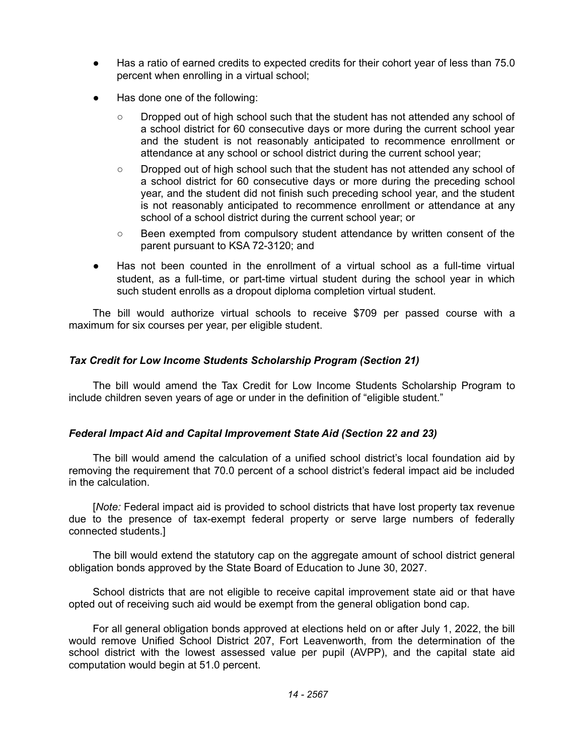- Has a ratio of earned credits to expected credits for their cohort year of less than 75.0 percent when enrolling in a virtual school;
- Has done one of the following:
	- Dropped out of high school such that the student has not attended any school of a school district for 60 consecutive days or more during the current school year and the student is not reasonably anticipated to recommence enrollment or attendance at any school or school district during the current school year;
	- Dropped out of high school such that the student has not attended any school of a school district for 60 consecutive days or more during the preceding school year, and the student did not finish such preceding school year, and the student is not reasonably anticipated to recommence enrollment or attendance at any school of a school district during the current school year; or
	- Been exempted from compulsory student attendance by written consent of the parent pursuant to KSA 72-3120; and
- Has not been counted in the enrollment of a virtual school as a full-time virtual student, as a full-time, or part-time virtual student during the school year in which such student enrolls as a dropout diploma completion virtual student.

The bill would authorize virtual schools to receive \$709 per passed course with a maximum for six courses per year, per eligible student.

# *Tax Credit for Low Income Students Scholarship Program (Section 21)*

The bill would amend the Tax Credit for Low Income Students Scholarship Program to include children seven years of age or under in the definition of "eligible student."

# *Federal Impact Aid and Capital Improvement State Aid (Section 22 and 23)*

The bill would amend the calculation of a unified school district's local foundation aid by removing the requirement that 70.0 percent of a school district's federal impact aid be included in the calculation.

[*Note:* Federal impact aid is provided to school districts that have lost property tax revenue due to the presence of tax-exempt federal property or serve large numbers of federally connected students.]

The bill would extend the statutory cap on the aggregate amount of school district general obligation bonds approved by the State Board of Education to June 30, 2027.

School districts that are not eligible to receive capital improvement state aid or that have opted out of receiving such aid would be exempt from the general obligation bond cap.

For all general obligation bonds approved at elections held on or after July 1, 2022, the bill would remove Unified School District 207, Fort Leavenworth, from the determination of the school district with the lowest assessed value per pupil (AVPP), and the capital state aid computation would begin at 51.0 percent.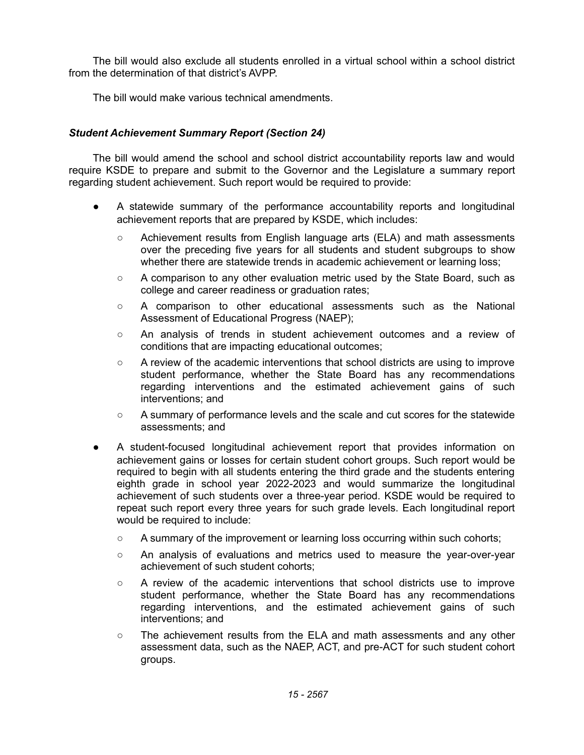The bill would also exclude all students enrolled in a virtual school within a school district from the determination of that district's AVPP.

The bill would make various technical amendments.

# *Student Achievement Summary Report (Section 24)*

The bill would amend the school and school district accountability reports law and would require KSDE to prepare and submit to the Governor and the Legislature a summary report regarding student achievement. Such report would be required to provide:

- A statewide summary of the performance accountability reports and longitudinal achievement reports that are prepared by KSDE, which includes:
	- Achievement results from English language arts (ELA) and math assessments over the preceding five years for all students and student subgroups to show whether there are statewide trends in academic achievement or learning loss;
	- A comparison to any other evaluation metric used by the State Board, such as college and career readiness or graduation rates;
	- A comparison to other educational assessments such as the National Assessment of Educational Progress (NAEP);
	- An analysis of trends in student achievement outcomes and a review of conditions that are impacting educational outcomes;
	- A review of the academic interventions that school districts are using to improve student performance, whether the State Board has any recommendations regarding interventions and the estimated achievement gains of such interventions; and
	- A summary of performance levels and the scale and cut scores for the statewide assessments; and
- A student-focused longitudinal achievement report that provides information on achievement gains or losses for certain student cohort groups. Such report would be required to begin with all students entering the third grade and the students entering eighth grade in school year 2022-2023 and would summarize the longitudinal achievement of such students over a three-year period. KSDE would be required to repeat such report every three years for such grade levels. Each longitudinal report would be required to include:
	- A summary of the improvement or learning loss occurring within such cohorts;
	- An analysis of evaluations and metrics used to measure the year-over-year achievement of such student cohorts;
	- A review of the academic interventions that school districts use to improve student performance, whether the State Board has any recommendations regarding interventions, and the estimated achievement gains of such interventions; and
	- The achievement results from the ELA and math assessments and any other assessment data, such as the NAEP, ACT, and pre-ACT for such student cohort groups.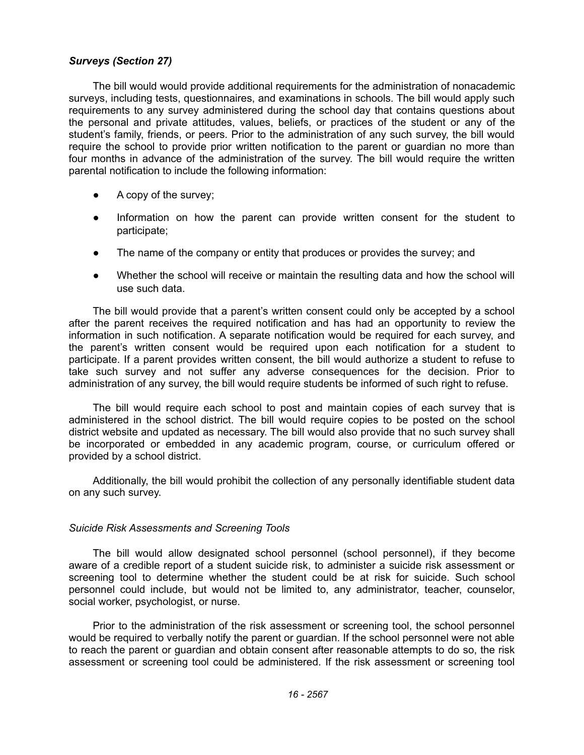# *Surveys (Section 27)*

The bill would would provide additional requirements for the administration of nonacademic surveys, including tests, questionnaires, and examinations in schools. The bill would apply such requirements to any survey administered during the school day that contains questions about the personal and private attitudes, values, beliefs, or practices of the student or any of the student's family, friends, or peers. Prior to the administration of any such survey, the bill would require the school to provide prior written notification to the parent or guardian no more than four months in advance of the administration of the survey. The bill would require the written parental notification to include the following information:

- A copy of the survey;
- Information on how the parent can provide written consent for the student to participate;
- The name of the company or entity that produces or provides the survey; and
- Whether the school will receive or maintain the resulting data and how the school will use such data.

The bill would provide that a parent's written consent could only be accepted by a school after the parent receives the required notification and has had an opportunity to review the information in such notification. A separate notification would be required for each survey, and the parent's written consent would be required upon each notification for a student to participate. If a parent provides written consent, the bill would authorize a student to refuse to take such survey and not suffer any adverse consequences for the decision. Prior to administration of any survey, the bill would require students be informed of such right to refuse.

The bill would require each school to post and maintain copies of each survey that is administered in the school district. The bill would require copies to be posted on the school district website and updated as necessary. The bill would also provide that no such survey shall be incorporated or embedded in any academic program, course, or curriculum offered or provided by a school district.

Additionally, the bill would prohibit the collection of any personally identifiable student data on any such survey.

#### *Suicide Risk Assessments and Screening Tools*

The bill would allow designated school personnel (school personnel), if they become aware of a credible report of a student suicide risk, to administer a suicide risk assessment or screening tool to determine whether the student could be at risk for suicide. Such school personnel could include, but would not be limited to, any administrator, teacher, counselor, social worker, psychologist, or nurse.

Prior to the administration of the risk assessment or screening tool, the school personnel would be required to verbally notify the parent or guardian. If the school personnel were not able to reach the parent or guardian and obtain consent after reasonable attempts to do so, the risk assessment or screening tool could be administered. If the risk assessment or screening tool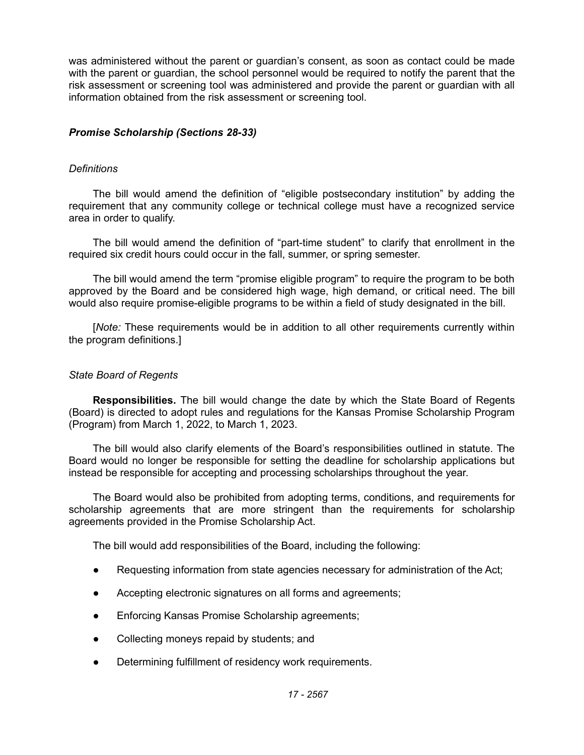was administered without the parent or guardian's consent, as soon as contact could be made with the parent or guardian, the school personnel would be required to notify the parent that the risk assessment or screening tool was administered and provide the parent or guardian with all information obtained from the risk assessment or screening tool.

# *Promise Scholarship (Sections 28-33)*

# *Definitions*

The bill would amend the definition of "eligible postsecondary institution" by adding the requirement that any community college or technical college must have a recognized service area in order to qualify.

The bill would amend the definition of "part-time student" to clarify that enrollment in the required six credit hours could occur in the fall, summer, or spring semester.

The bill would amend the term "promise eligible program" to require the program to be both approved by the Board and be considered high wage, high demand, or critical need. The bill would also require promise-eligible programs to be within a field of study designated in the bill.

[*Note:* These requirements would be in addition to all other requirements currently within the program definitions.]

## *State Board of Regents*

**Responsibilities.** The bill would change the date by which the State Board of Regents (Board) is directed to adopt rules and regulations for the Kansas Promise Scholarship Program (Program) from March 1, 2022, to March 1, 2023.

The bill would also clarify elements of the Board's responsibilities outlined in statute. The Board would no longer be responsible for setting the deadline for scholarship applications but instead be responsible for accepting and processing scholarships throughout the year.

The Board would also be prohibited from adopting terms, conditions, and requirements for scholarship agreements that are more stringent than the requirements for scholarship agreements provided in the Promise Scholarship Act.

The bill would add responsibilities of the Board, including the following:

- Requesting information from state agencies necessary for administration of the Act;
- Accepting electronic signatures on all forms and agreements;
- Enforcing Kansas Promise Scholarship agreements;
- Collecting moneys repaid by students; and
- Determining fulfillment of residency work requirements.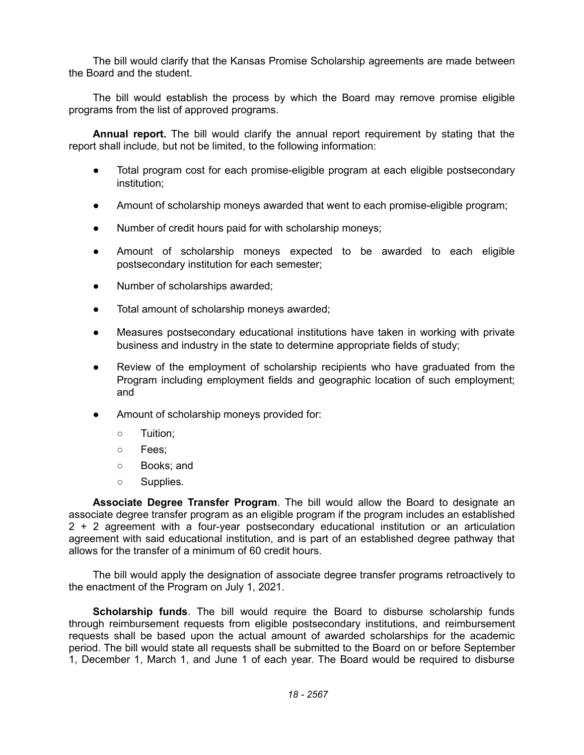The bill would clarify that the Kansas Promise Scholarship agreements are made between the Board and the student.

The bill would establish the process by which the Board may remove promise eligible programs from the list of approved programs.

**Annual report.** The bill would clarify the annual report requirement by stating that the report shall include, but not be limited, to the following information:

- Total program cost for each promise-eligible program at each eligible postsecondary institution;
- Amount of scholarship moneys awarded that went to each promise-eligible program;
- Number of credit hours paid for with scholarship moneys;
- Amount of scholarship moneys expected to be awarded to each eligible postsecondary institution for each semester;
- Number of scholarships awarded;
- Total amount of scholarship moneys awarded;
- Measures postsecondary educational institutions have taken in working with private business and industry in the state to determine appropriate fields of study;
- Review of the employment of scholarship recipients who have graduated from the Program including employment fields and geographic location of such employment; and
- Amount of scholarship moneys provided for:
	- Tuition;
	- Fees;
	- Books; and
	- Supplies.

**Associate Degree Transfer Program**. The bill would allow the Board to designate an associate degree transfer program as an eligible program if the program includes an established 2 + 2 agreement with a four-year postsecondary educational institution or an articulation agreement with said educational institution, and is part of an established degree pathway that allows for the transfer of a minimum of 60 credit hours.

The bill would apply the designation of associate degree transfer programs retroactively to the enactment of the Program on July 1, 2021.

**Scholarship funds**. The bill would require the Board to disburse scholarship funds through reimbursement requests from eligible postsecondary institutions, and reimbursement requests shall be based upon the actual amount of awarded scholarships for the academic period. The bill would state all requests shall be submitted to the Board on or before September 1, December 1, March 1, and June 1 of each year. The Board would be required to disburse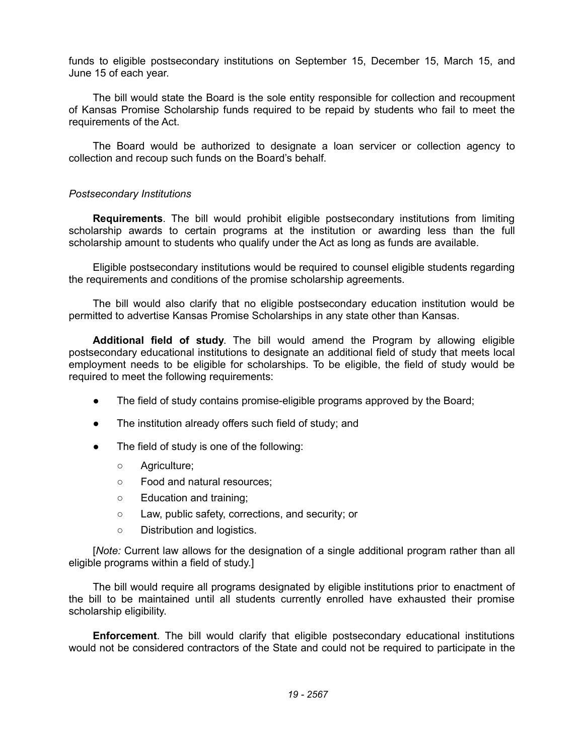funds to eligible postsecondary institutions on September 15, December 15, March 15, and June 15 of each year.

The bill would state the Board is the sole entity responsible for collection and recoupment of Kansas Promise Scholarship funds required to be repaid by students who fail to meet the requirements of the Act.

The Board would be authorized to designate a loan servicer or collection agency to collection and recoup such funds on the Board's behalf.

# *Postsecondary Institutions*

**Requirements**. The bill would prohibit eligible postsecondary institutions from limiting scholarship awards to certain programs at the institution or awarding less than the full scholarship amount to students who qualify under the Act as long as funds are available.

Eligible postsecondary institutions would be required to counsel eligible students regarding the requirements and conditions of the promise scholarship agreements.

The bill would also clarify that no eligible postsecondary education institution would be permitted to advertise Kansas Promise Scholarships in any state other than Kansas.

**Additional field of study**. The bill would amend the Program by allowing eligible postsecondary educational institutions to designate an additional field of study that meets local employment needs to be eligible for scholarships. To be eligible, the field of study would be required to meet the following requirements:

- The field of study contains promise-eligible programs approved by the Board;
- The institution already offers such field of study; and
- The field of study is one of the following:
	- Agriculture;
	- Food and natural resources;
	- Education and training;
	- Law, public safety, corrections, and security; or
	- Distribution and logistics.

[*Note:* Current law allows for the designation of a single additional program rather than all eligible programs within a field of study.]

The bill would require all programs designated by eligible institutions prior to enactment of the bill to be maintained until all students currently enrolled have exhausted their promise scholarship eligibility.

**Enforcement**. The bill would clarify that eligible postsecondary educational institutions would not be considered contractors of the State and could not be required to participate in the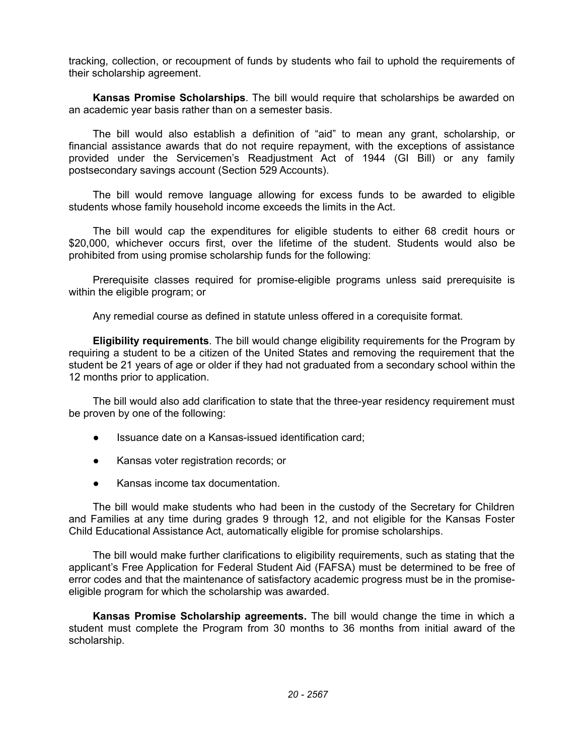tracking, collection, or recoupment of funds by students who fail to uphold the requirements of their scholarship agreement.

**Kansas Promise Scholarships**. The bill would require that scholarships be awarded on an academic year basis rather than on a semester basis.

The bill would also establish a definition of "aid" to mean any grant, scholarship, or financial assistance awards that do not require repayment, with the exceptions of assistance provided under the Servicemen's Readjustment Act of 1944 (GI Bill) or any family postsecondary savings account (Section 529 Accounts).

The bill would remove language allowing for excess funds to be awarded to eligible students whose family household income exceeds the limits in the Act.

The bill would cap the expenditures for eligible students to either 68 credit hours or \$20,000, whichever occurs first, over the lifetime of the student. Students would also be prohibited from using promise scholarship funds for the following:

Prerequisite classes required for promise-eligible programs unless said prerequisite is within the eligible program; or

Any remedial course as defined in statute unless offered in a corequisite format.

**Eligibility requirements**. The bill would change eligibility requirements for the Program by requiring a student to be a citizen of the United States and removing the requirement that the student be 21 years of age or older if they had not graduated from a secondary school within the 12 months prior to application.

The bill would also add clarification to state that the three-year residency requirement must be proven by one of the following:

- Issuance date on a Kansas-issued identification card;
- Kansas voter registration records; or
- Kansas income tax documentation.

The bill would make students who had been in the custody of the Secretary for Children and Families at any time during grades 9 through 12, and not eligible for the Kansas Foster Child Educational Assistance Act, automatically eligible for promise scholarships.

The bill would make further clarifications to eligibility requirements, such as stating that the applicant's Free Application for Federal Student Aid (FAFSA) must be determined to be free of error codes and that the maintenance of satisfactory academic progress must be in the promiseeligible program for which the scholarship was awarded.

**Kansas Promise Scholarship agreements.** The bill would change the time in which a student must complete the Program from 30 months to 36 months from initial award of the scholarship.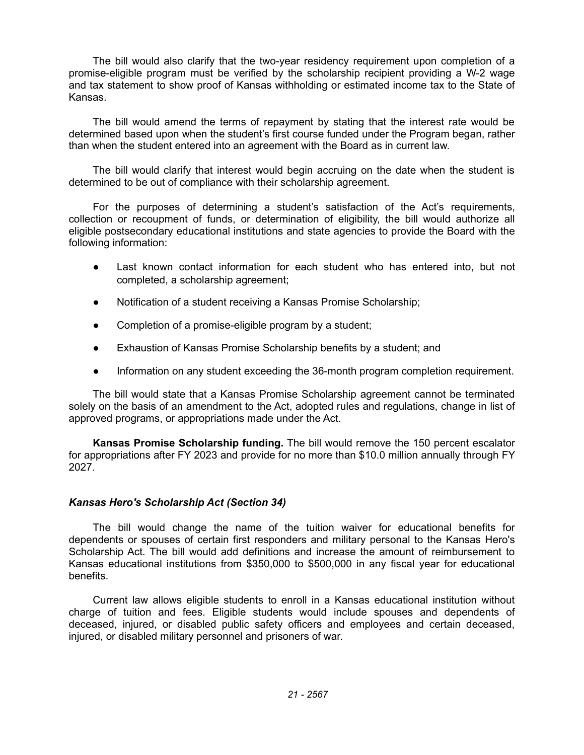The bill would also clarify that the two-year residency requirement upon completion of a promise-eligible program must be verified by the scholarship recipient providing a W-2 wage and tax statement to show proof of Kansas withholding or estimated income tax to the State of Kansas.

The bill would amend the terms of repayment by stating that the interest rate would be determined based upon when the student's first course funded under the Program began, rather than when the student entered into an agreement with the Board as in current law.

The bill would clarify that interest would begin accruing on the date when the student is determined to be out of compliance with their scholarship agreement.

For the purposes of determining a student's satisfaction of the Act's requirements, collection or recoupment of funds, or determination of eligibility, the bill would authorize all eligible postsecondary educational institutions and state agencies to provide the Board with the following information:

- Last known contact information for each student who has entered into, but not completed, a scholarship agreement;
- Notification of a student receiving a Kansas Promise Scholarship;
- Completion of a promise-eligible program by a student;
- Exhaustion of Kansas Promise Scholarship benefits by a student; and
- Information on any student exceeding the 36-month program completion requirement.

The bill would state that a Kansas Promise Scholarship agreement cannot be terminated solely on the basis of an amendment to the Act, adopted rules and regulations, change in list of approved programs, or appropriations made under the Act.

**Kansas Promise Scholarship funding.** The bill would remove the 150 percent escalator for appropriations after FY 2023 and provide for no more than \$10.0 million annually through FY 2027.

# *Kansas Hero's Scholarship Act (Section 34)*

The bill would change the name of the tuition waiver for educational benefits for dependents or spouses of certain first responders and military personal to the Kansas Hero's Scholarship Act. The bill would add definitions and increase the amount of reimbursement to Kansas educational institutions from \$350,000 to \$500,000 in any fiscal year for educational benefits.

Current law allows eligible students to enroll in a Kansas educational institution without charge of tuition and fees. Eligible students would include spouses and dependents of deceased, injured, or disabled public safety officers and employees and certain deceased, injured, or disabled military personnel and prisoners of war.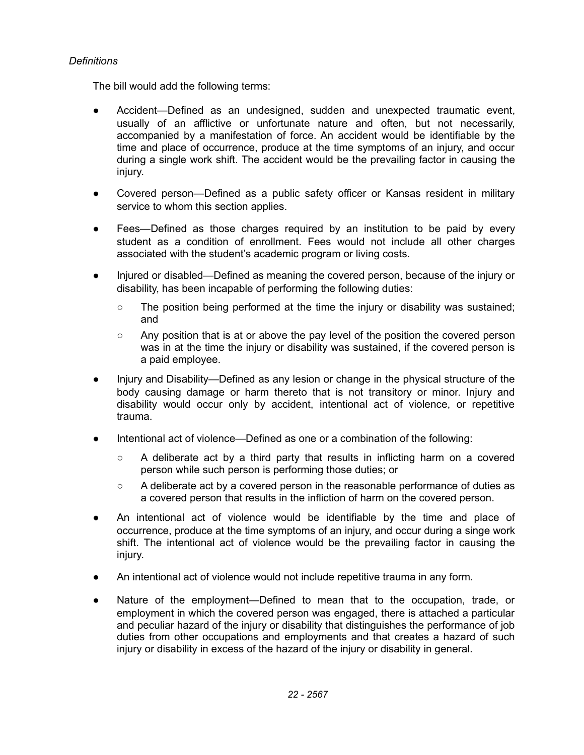# *Definitions*

The bill would add the following terms:

- Accident—Defined as an undesigned, sudden and unexpected traumatic event, usually of an afflictive or unfortunate nature and often, but not necessarily, accompanied by a manifestation of force. An accident would be identifiable by the time and place of occurrence, produce at the time symptoms of an injury, and occur during a single work shift. The accident would be the prevailing factor in causing the injury.
- Covered person—Defined as a public safety officer or Kansas resident in military service to whom this section applies.
- Fees—Defined as those charges required by an institution to be paid by every student as a condition of enrollment. Fees would not include all other charges associated with the student's academic program or living costs.
- Injured or disabled—Defined as meaning the covered person, because of the injury or disability, has been incapable of performing the following duties:
	- $\circ$  The position being performed at the time the injury or disability was sustained; and
	- Any position that is at or above the pay level of the position the covered person was in at the time the injury or disability was sustained, if the covered person is a paid employee.
- Injury and Disability—Defined as any lesion or change in the physical structure of the body causing damage or harm thereto that is not transitory or minor. Injury and disability would occur only by accident, intentional act of violence, or repetitive trauma.
- Intentional act of violence—Defined as one or a combination of the following:
	- A deliberate act by a third party that results in inflicting harm on a covered person while such person is performing those duties; or
	- A deliberate act by a covered person in the reasonable performance of duties as a covered person that results in the infliction of harm on the covered person.
- An intentional act of violence would be identifiable by the time and place of occurrence, produce at the time symptoms of an injury, and occur during a singe work shift. The intentional act of violence would be the prevailing factor in causing the injury.
- An intentional act of violence would not include repetitive trauma in any form.
- Nature of the employment—Defined to mean that to the occupation, trade, or employment in which the covered person was engaged, there is attached a particular and peculiar hazard of the injury or disability that distinguishes the performance of job duties from other occupations and employments and that creates a hazard of such injury or disability in excess of the hazard of the injury or disability in general.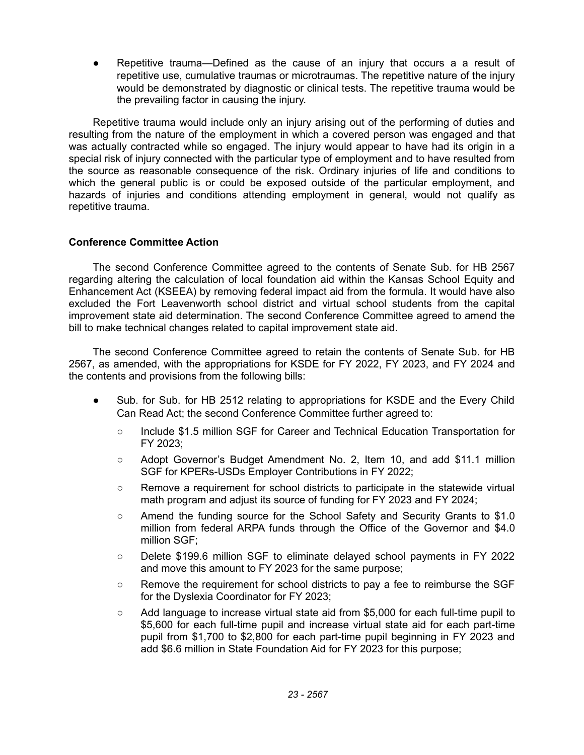Repetitive trauma—Defined as the cause of an injury that occurs a a result of repetitive use, cumulative traumas or microtraumas. The repetitive nature of the injury would be demonstrated by diagnostic or clinical tests. The repetitive trauma would be the prevailing factor in causing the injury.

Repetitive trauma would include only an injury arising out of the performing of duties and resulting from the nature of the employment in which a covered person was engaged and that was actually contracted while so engaged. The injury would appear to have had its origin in a special risk of injury connected with the particular type of employment and to have resulted from the source as reasonable consequence of the risk. Ordinary injuries of life and conditions to which the general public is or could be exposed outside of the particular employment, and hazards of injuries and conditions attending employment in general, would not qualify as repetitive trauma.

# **Conference Committee Action**

The second Conference Committee agreed to the contents of Senate Sub. for HB 2567 regarding altering the calculation of local foundation aid within the Kansas School Equity and Enhancement Act (KSEEA) by removing federal impact aid from the formula. It would have also excluded the Fort Leavenworth school district and virtual school students from the capital improvement state aid determination. The second Conference Committee agreed to amend the bill to make technical changes related to capital improvement state aid.

The second Conference Committee agreed to retain the contents of Senate Sub. for HB 2567, as amended, with the appropriations for KSDE for FY 2022, FY 2023, and FY 2024 and the contents and provisions from the following bills:

- Sub. for Sub. for HB 2512 relating to appropriations for KSDE and the Every Child Can Read Act; the second Conference Committee further agreed to:
	- Include \$1.5 million SGF for Career and Technical Education Transportation for FY 2023;
	- Adopt Governor's Budget Amendment No. 2, Item 10, and add \$11.1 million SGF for KPERs-USDs Employer Contributions in FY 2022;
	- Remove a requirement for school districts to participate in the statewide virtual math program and adjust its source of funding for FY 2023 and FY 2024;
	- Amend the funding source for the School Safety and Security Grants to \$1.0 million from federal ARPA funds through the Office of the Governor and \$4.0 million SGF;
	- Delete \$199.6 million SGF to eliminate delayed school payments in FY 2022 and move this amount to FY 2023 for the same purpose;
	- Remove the requirement for school districts to pay a fee to reimburse the SGF for the Dyslexia Coordinator for FY 2023;
	- Add language to increase virtual state aid from \$5,000 for each full-time pupil to \$5,600 for each full-time pupil and increase virtual state aid for each part-time pupil from \$1,700 to \$2,800 for each part-time pupil beginning in FY 2023 and add \$6.6 million in State Foundation Aid for FY 2023 for this purpose;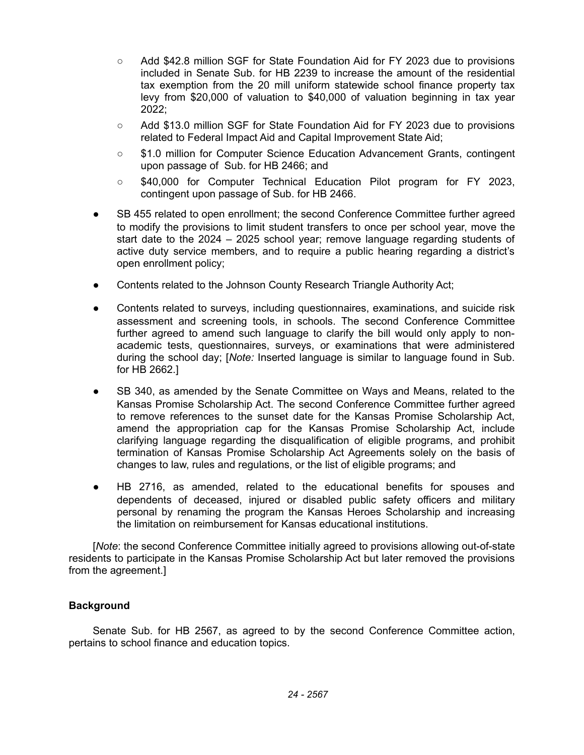- Add \$42.8 million SGF for State Foundation Aid for FY 2023 due to provisions included in Senate Sub. for HB 2239 to increase the amount of the residential tax exemption from the 20 mill uniform statewide school finance property tax levy from \$20,000 of valuation to \$40,000 of valuation beginning in tax year 2022;
- Add \$13.0 million SGF for State Foundation Aid for FY 2023 due to provisions related to Federal Impact Aid and Capital Improvement State Aid;
- \$1.0 million for Computer Science Education Advancement Grants, contingent upon passage of Sub. for HB 2466; and
- \$40,000 for Computer Technical Education Pilot program for FY 2023, contingent upon passage of Sub. for HB 2466.
- SB 455 related to open enrollment; the second Conference Committee further agreed to modify the provisions to limit student transfers to once per school year, move the start date to the 2024 – 2025 school year; remove language regarding students of active duty service members, and to require a public hearing regarding a district's open enrollment policy;
- Contents related to the Johnson County Research Triangle Authority Act;
- Contents related to surveys, including questionnaires, examinations, and suicide risk assessment and screening tools, in schools. The second Conference Committee further agreed to amend such language to clarify the bill would only apply to nonacademic tests, questionnaires, surveys, or examinations that were administered during the school day; [*Note:* Inserted language is similar to language found in Sub. for HB 2662.]
- SB 340, as amended by the Senate Committee on Ways and Means, related to the Kansas Promise Scholarship Act. The second Conference Committee further agreed to remove references to the sunset date for the Kansas Promise Scholarship Act, amend the appropriation cap for the Kansas Promise Scholarship Act, include clarifying language regarding the disqualification of eligible programs, and prohibit termination of Kansas Promise Scholarship Act Agreements solely on the basis of changes to law, rules and regulations, or the list of eligible programs; and
- HB 2716, as amended, related to the educational benefits for spouses and dependents of deceased, injured or disabled public safety officers and military personal by renaming the program the Kansas Heroes Scholarship and increasing the limitation on reimbursement for Kansas educational institutions.

[*Note*: the second Conference Committee initially agreed to provisions allowing out-of-state residents to participate in the Kansas Promise Scholarship Act but later removed the provisions from the agreement.]

# **Background**

Senate Sub. for HB 2567, as agreed to by the second Conference Committee action, pertains to school finance and education topics.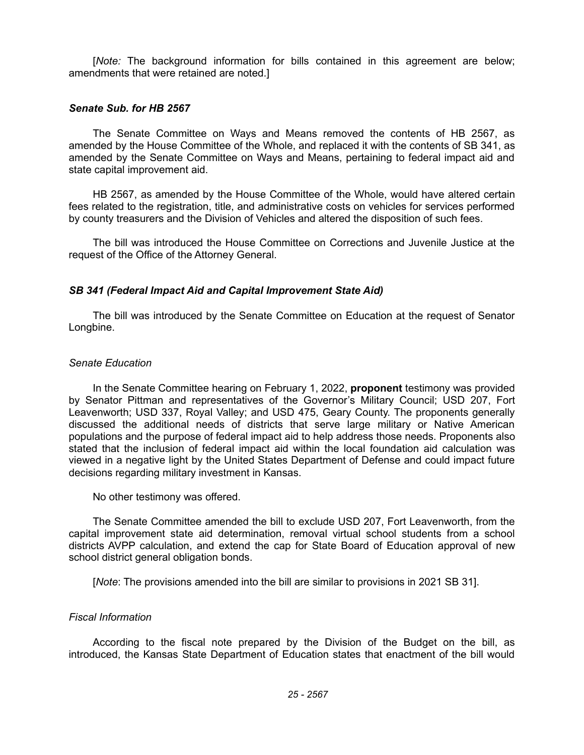[*Note:* The background information for bills contained in this agreement are below; amendments that were retained are noted.]

### *Senate Sub. for HB 2567*

The Senate Committee on Ways and Means removed the contents of HB 2567, as amended by the House Committee of the Whole, and replaced it with the contents of SB 341, as amended by the Senate Committee on Ways and Means, pertaining to federal impact aid and state capital improvement aid.

HB 2567, as amended by the House Committee of the Whole, would have altered certain fees related to the registration, title, and administrative costs on vehicles for services performed by county treasurers and the Division of Vehicles and altered the disposition of such fees.

The bill was introduced the House Committee on Corrections and Juvenile Justice at the request of the Office of the Attorney General.

## *SB 341 (Federal Impact Aid and Capital Improvement State Aid)*

The bill was introduced by the Senate Committee on Education at the request of Senator Longbine.

#### *Senate Education*

In the Senate Committee hearing on February 1, 2022, **proponent** testimony was provided by Senator Pittman and representatives of the Governor's Military Council; USD 207, Fort Leavenworth; USD 337, Royal Valley; and USD 475, Geary County. The proponents generally discussed the additional needs of districts that serve large military or Native American populations and the purpose of federal impact aid to help address those needs. Proponents also stated that the inclusion of federal impact aid within the local foundation aid calculation was viewed in a negative light by the United States Department of Defense and could impact future decisions regarding military investment in Kansas.

No other testimony was offered.

The Senate Committee amended the bill to exclude USD 207, Fort Leavenworth, from the capital improvement state aid determination, removal virtual school students from a school districts AVPP calculation, and extend the cap for State Board of Education approval of new school district general obligation bonds.

[*Note*: The provisions amended into the bill are similar to provisions in 2021 SB 31].

#### *Fiscal Information*

According to the fiscal note prepared by the Division of the Budget on the bill, as introduced, the Kansas State Department of Education states that enactment of the bill would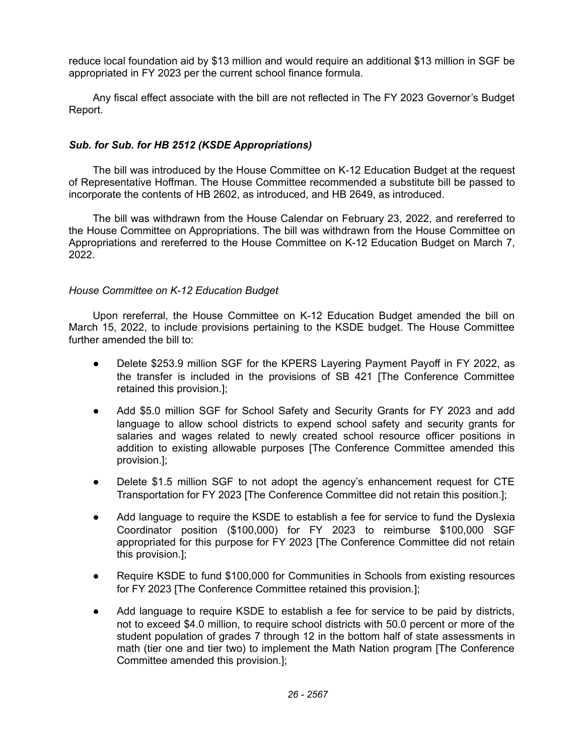reduce local foundation aid by \$13 million and would require an additional \$13 million in SGF be appropriated in FY 2023 per the current school finance formula.

Any fiscal effect associate with the bill are not reflected in The FY 2023 Governor's Budget Report.

# *Sub. for Sub. for HB 2512 (KSDE Appropriations)*

The bill was introduced by the House Committee on K-12 Education Budget at the request of Representative Hoffman. The House Committee recommended a substitute bill be passed to incorporate the contents of HB 2602, as introduced, and HB 2649, as introduced.

The bill was withdrawn from the House Calendar on February 23, 2022, and rereferred to the House Committee on Appropriations. The bill was withdrawn from the House Committee on Appropriations and rereferred to the House Committee on K-12 Education Budget on March 7, 2022.

# *House Committee on K-12 Education Budget*

Upon rereferral, the House Committee on K-12 Education Budget amended the bill on March 15, 2022, to include provisions pertaining to the KSDE budget. The House Committee further amended the bill to:

- Delete \$253.9 million SGF for the KPERS Layering Payment Payoff in FY 2022, as the transfer is included in the provisions of SB 421 [The Conference Committee retained this provision.];
- Add \$5.0 million SGF for School Safety and Security Grants for FY 2023 and add language to allow school districts to expend school safety and security grants for salaries and wages related to newly created school resource officer positions in addition to existing allowable purposes [The Conference Committee amended this provision.];
- Delete \$1.5 million SGF to not adopt the agency's enhancement request for CTE Transportation for FY 2023 [The Conference Committee did not retain this position.];
- Add language to require the KSDE to establish a fee for service to fund the Dyslexia Coordinator position (\$100,000) for FY 2023 to reimburse \$100,000 SGF appropriated for this purpose for FY 2023 [The Conference Committee did not retain this provision.];
- Require KSDE to fund \$100,000 for Communities in Schools from existing resources for FY 2023 [The Conference Committee retained this provision.]:
- Add language to require KSDE to establish a fee for service to be paid by districts, not to exceed \$4.0 million, to require school districts with 50.0 percent or more of the student population of grades 7 through 12 in the bottom half of state assessments in math (tier one and tier two) to implement the Math Nation program [The Conference Committee amended this provision.];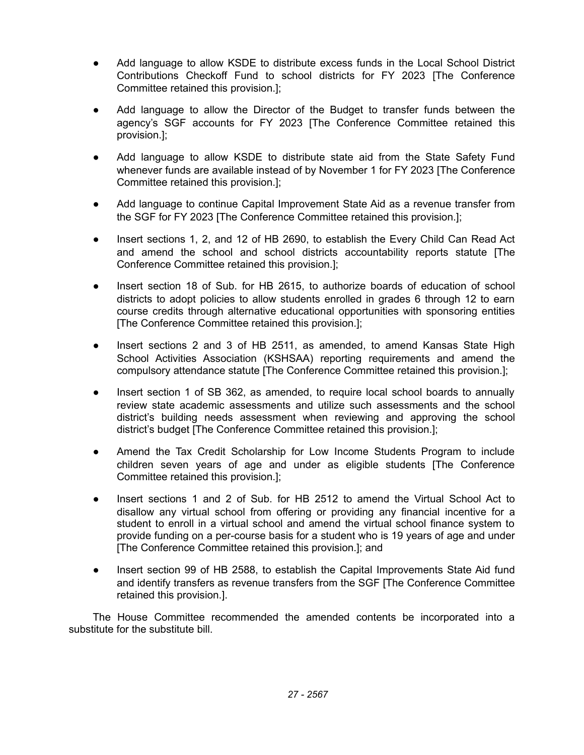- Add language to allow KSDE to distribute excess funds in the Local School District Contributions Checkoff Fund to school districts for FY 2023 [The Conference Committee retained this provision.];
- Add language to allow the Director of the Budget to transfer funds between the agency's SGF accounts for FY 2023 [The Conference Committee retained this provision.];
- Add language to allow KSDE to distribute state aid from the State Safety Fund whenever funds are available instead of by November 1 for FY 2023 [The Conference Committee retained this provision.];
- Add language to continue Capital Improvement State Aid as a revenue transfer from the SGF for FY 2023 [The Conference Committee retained this provision.];
- Insert sections 1, 2, and 12 of HB 2690, to establish the Every Child Can Read Act and amend the school and school districts accountability reports statute [The Conference Committee retained this provision.];
- Insert section 18 of Sub. for HB 2615, to authorize boards of education of school districts to adopt policies to allow students enrolled in grades 6 through 12 to earn course credits through alternative educational opportunities with sponsoring entities [The Conference Committee retained this provision.];
- Insert sections 2 and 3 of HB 2511, as amended, to amend Kansas State High School Activities Association (KSHSAA) reporting requirements and amend the compulsory attendance statute [The Conference Committee retained this provision.];
- Insert section 1 of SB 362, as amended, to require local school boards to annually review state academic assessments and utilize such assessments and the school district's building needs assessment when reviewing and approving the school district's budget [The Conference Committee retained this provision.];
- Amend the Tax Credit Scholarship for Low Income Students Program to include children seven years of age and under as eligible students [The Conference Committee retained this provision.];
- Insert sections 1 and 2 of Sub. for HB 2512 to amend the Virtual School Act to disallow any virtual school from offering or providing any financial incentive for a student to enroll in a virtual school and amend the virtual school finance system to provide funding on a per-course basis for a student who is 19 years of age and under [The Conference Committee retained this provision.]; and
- Insert section 99 of HB 2588, to establish the Capital Improvements State Aid fund and identify transfers as revenue transfers from the SGF [The Conference Committee retained this provision.].

The House Committee recommended the amended contents be incorporated into a substitute for the substitute bill.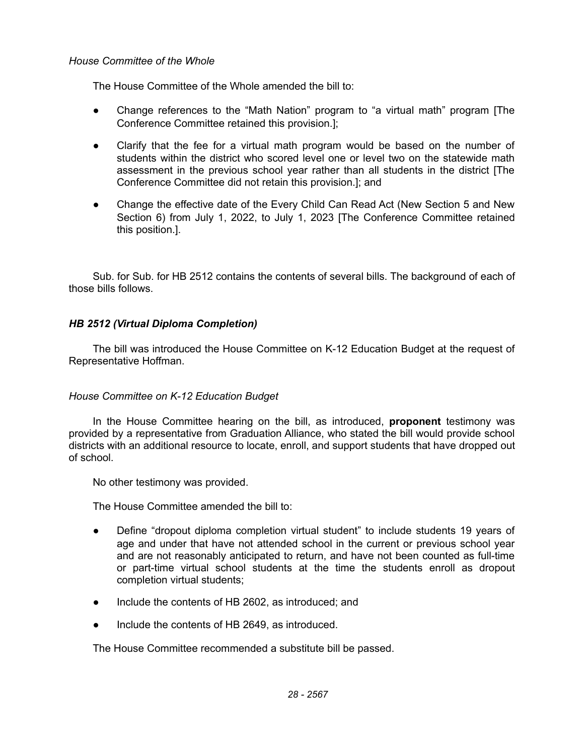### *House Committee of the Whole*

The House Committee of the Whole amended the bill to:

- Change references to the "Math Nation" program to "a virtual math" program [The Conference Committee retained this provision.];
- Clarify that the fee for a virtual math program would be based on the number of students within the district who scored level one or level two on the statewide math assessment in the previous school year rather than all students in the district [The Conference Committee did not retain this provision.]; and
- Change the effective date of the Every Child Can Read Act (New Section 5 and New Section 6) from July 1, 2022, to July 1, 2023 [The Conference Committee retained this position.].

Sub. for Sub. for HB 2512 contains the contents of several bills. The background of each of those bills follows.

# *HB 2512 (Virtual Diploma Completion)*

The bill was introduced the House Committee on K-12 Education Budget at the request of Representative Hoffman.

# *House Committee on K-12 Education Budget*

In the House Committee hearing on the bill, as introduced, **proponent** testimony was provided by a representative from Graduation Alliance, who stated the bill would provide school districts with an additional resource to locate, enroll, and support students that have dropped out of school.

No other testimony was provided.

The House Committee amended the bill to:

- Define "dropout diploma completion virtual student" to include students 19 years of age and under that have not attended school in the current or previous school year and are not reasonably anticipated to return, and have not been counted as full-time or part-time virtual school students at the time the students enroll as dropout completion virtual students;
- Include the contents of HB 2602, as introduced; and
- Include the contents of HB 2649, as introduced.

The House Committee recommended a substitute bill be passed.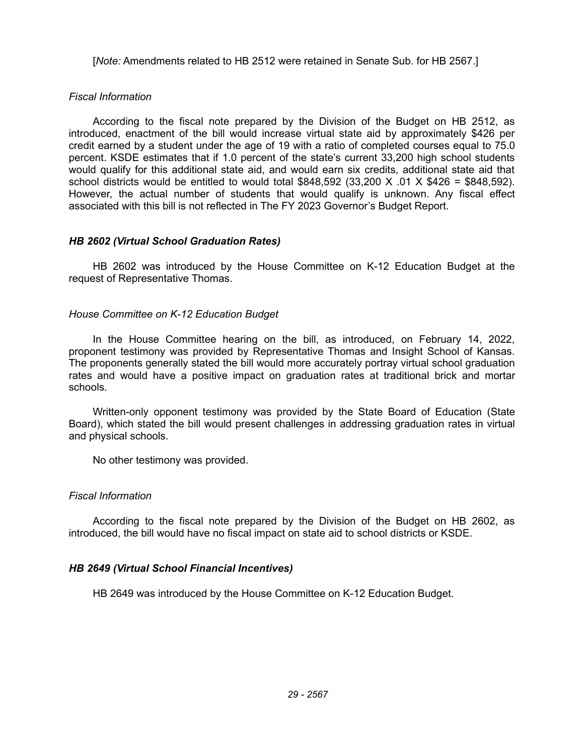[*Note:* Amendments related to HB 2512 were retained in Senate Sub. for HB 2567.]

## *Fiscal Information*

According to the fiscal note prepared by the Division of the Budget on HB 2512, as introduced, enactment of the bill would increase virtual state aid by approximately \$426 per credit earned by a student under the age of 19 with a ratio of completed courses equal to 75.0 percent. KSDE estimates that if 1.0 percent of the state's current 33,200 high school students would qualify for this additional state aid, and would earn six credits, additional state aid that school districts would be entitled to would total  $$848,592$  (33,200 X .01 X  $$426 = $848,592$ ). However, the actual number of students that would qualify is unknown. Any fiscal effect associated with this bill is not reflected in The FY 2023 Governor's Budget Report.

## *HB 2602 (Virtual School Graduation Rates)*

HB 2602 was introduced by the House Committee on K-12 Education Budget at the request of Representative Thomas.

## *House Committee on K-12 Education Budget*

In the House Committee hearing on the bill, as introduced, on February 14, 2022, proponent testimony was provided by Representative Thomas and Insight School of Kansas. The proponents generally stated the bill would more accurately portray virtual school graduation rates and would have a positive impact on graduation rates at traditional brick and mortar schools.

Written-only opponent testimony was provided by the State Board of Education (State Board), which stated the bill would present challenges in addressing graduation rates in virtual and physical schools.

No other testimony was provided.

#### *Fiscal Information*

According to the fiscal note prepared by the Division of the Budget on HB 2602, as introduced, the bill would have no fiscal impact on state aid to school districts or KSDE.

#### *HB 2649 (Virtual School Financial Incentives)*

HB 2649 was introduced by the House Committee on K-12 Education Budget.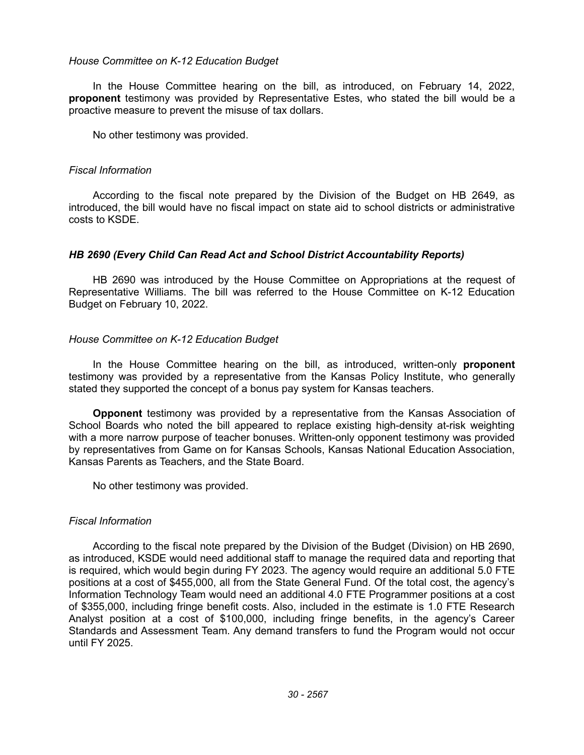#### *House Committee on K-12 Education Budget*

In the House Committee hearing on the bill, as introduced, on February 14, 2022, **proponent** testimony was provided by Representative Estes, who stated the bill would be a proactive measure to prevent the misuse of tax dollars.

No other testimony was provided.

#### *Fiscal Information*

According to the fiscal note prepared by the Division of the Budget on HB 2649, as introduced, the bill would have no fiscal impact on state aid to school districts or administrative costs to KSDE.

#### *HB 2690 (Every Child Can Read Act and School District Accountability Reports)*

HB 2690 was introduced by the House Committee on Appropriations at the request of Representative Williams. The bill was referred to the House Committee on K-12 Education Budget on February 10, 2022.

#### *House Committee on K-12 Education Budget*

In the House Committee hearing on the bill, as introduced, written-only **proponent** testimony was provided by a representative from the Kansas Policy Institute, who generally stated they supported the concept of a bonus pay system for Kansas teachers.

**Opponent** testimony was provided by a representative from the Kansas Association of School Boards who noted the bill appeared to replace existing high-density at-risk weighting with a more narrow purpose of teacher bonuses. Written-only opponent testimony was provided by representatives from Game on for Kansas Schools, Kansas National Education Association, Kansas Parents as Teachers, and the State Board.

No other testimony was provided.

#### *Fiscal Information*

According to the fiscal note prepared by the Division of the Budget (Division) on HB 2690, as introduced, KSDE would need additional staff to manage the required data and reporting that is required, which would begin during FY 2023. The agency would require an additional 5.0 FTE positions at a cost of \$455,000, all from the State General Fund. Of the total cost, the agency's Information Technology Team would need an additional 4.0 FTE Programmer positions at a cost of \$355,000, including fringe benefit costs. Also, included in the estimate is 1.0 FTE Research Analyst position at a cost of \$100,000, including fringe benefits, in the agency's Career Standards and Assessment Team. Any demand transfers to fund the Program would not occur until FY 2025.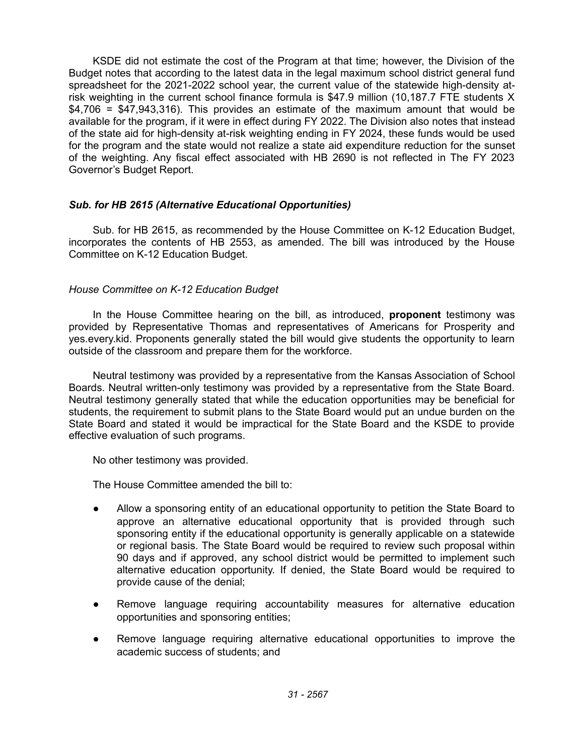KSDE did not estimate the cost of the Program at that time; however, the Division of the Budget notes that according to the latest data in the legal maximum school district general fund spreadsheet for the 2021-2022 school year, the current value of the statewide high-density atrisk weighting in the current school finance formula is \$47.9 million (10,187.7 FTE students X \$4,706 = \$47,943,316). This provides an estimate of the maximum amount that would be available for the program, if it were in effect during FY 2022. The Division also notes that instead of the state aid for high-density at-risk weighting ending in FY 2024, these funds would be used for the program and the state would not realize a state aid expenditure reduction for the sunset of the weighting. Any fiscal effect associated with HB 2690 is not reflected in The FY 2023 Governor's Budget Report.

# *Sub. for HB 2615 (Alternative Educational Opportunities)*

Sub. for HB 2615, as recommended by the House Committee on K-12 Education Budget, incorporates the contents of HB 2553, as amended. The bill was introduced by the House Committee on K-12 Education Budget.

#### *House Committee on K-12 Education Budget*

In the House Committee hearing on the bill, as introduced, **proponent** testimony was provided by Representative Thomas and representatives of Americans for Prosperity and yes.every.kid. Proponents generally stated the bill would give students the opportunity to learn outside of the classroom and prepare them for the workforce.

Neutral testimony was provided by a representative from the Kansas Association of School Boards. Neutral written-only testimony was provided by a representative from the State Board. Neutral testimony generally stated that while the education opportunities may be beneficial for students, the requirement to submit plans to the State Board would put an undue burden on the State Board and stated it would be impractical for the State Board and the KSDE to provide effective evaluation of such programs.

No other testimony was provided.

The House Committee amended the bill to:

- Allow a sponsoring entity of an educational opportunity to petition the State Board to approve an alternative educational opportunity that is provided through such sponsoring entity if the educational opportunity is generally applicable on a statewide or regional basis. The State Board would be required to review such proposal within 90 days and if approved, any school district would be permitted to implement such alternative education opportunity. If denied, the State Board would be required to provide cause of the denial;
- Remove language requiring accountability measures for alternative education opportunities and sponsoring entities;
- Remove language requiring alternative educational opportunities to improve the academic success of students; and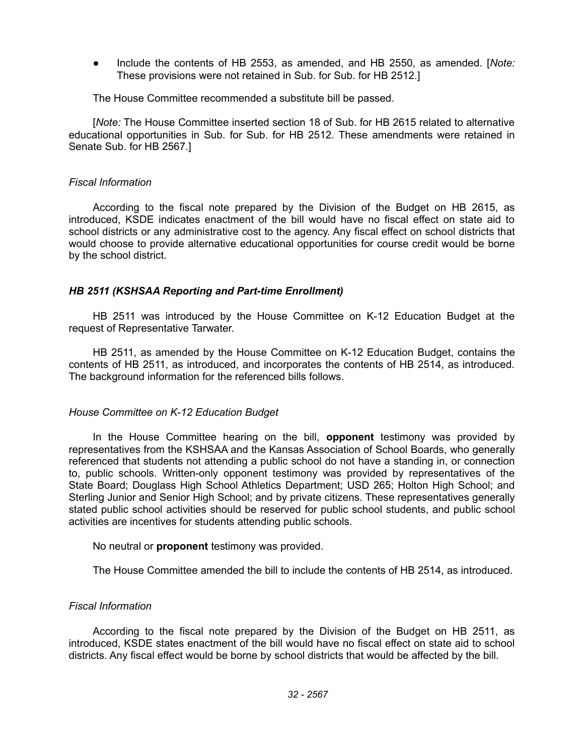● Include the contents of HB 2553, as amended, and HB 2550, as amended. [*Note:* These provisions were not retained in Sub. for Sub. for HB 2512.]

The House Committee recommended a substitute bill be passed.

[*Note:* The House Committee inserted section 18 of Sub. for HB 2615 related to alternative educational opportunities in Sub. for Sub. for HB 2512. These amendments were retained in Senate Sub. for HB 2567.]

## *Fiscal Information*

According to the fiscal note prepared by the Division of the Budget on HB 2615, as introduced, KSDE indicates enactment of the bill would have no fiscal effect on state aid to school districts or any administrative cost to the agency. Any fiscal effect on school districts that would choose to provide alternative educational opportunities for course credit would be borne by the school district.

## *HB 2511 (KSHSAA Reporting and Part-time Enrollment)*

HB 2511 was introduced by the House Committee on K-12 Education Budget at the request of Representative Tarwater.

HB 2511, as amended by the House Committee on K-12 Education Budget, contains the contents of HB 2511, as introduced, and incorporates the contents of HB 2514, as introduced. The background information for the referenced bills follows.

#### *House Committee on K-12 Education Budget*

In the House Committee hearing on the bill, **opponent** testimony was provided by representatives from the KSHSAA and the Kansas Association of School Boards, who generally referenced that students not attending a public school do not have a standing in, or connection to, public schools. Written-only opponent testimony was provided by representatives of the State Board; Douglass High School Athletics Department; USD 265; Holton High School; and Sterling Junior and Senior High School; and by private citizens. These representatives generally stated public school activities should be reserved for public school students, and public school activities are incentives for students attending public schools.

No neutral or **proponent** testimony was provided.

The House Committee amended the bill to include the contents of HB 2514, as introduced.

# *Fiscal Information*

According to the fiscal note prepared by the Division of the Budget on HB 2511, as introduced, KSDE states enactment of the bill would have no fiscal effect on state aid to school districts. Any fiscal effect would be borne by school districts that would be affected by the bill.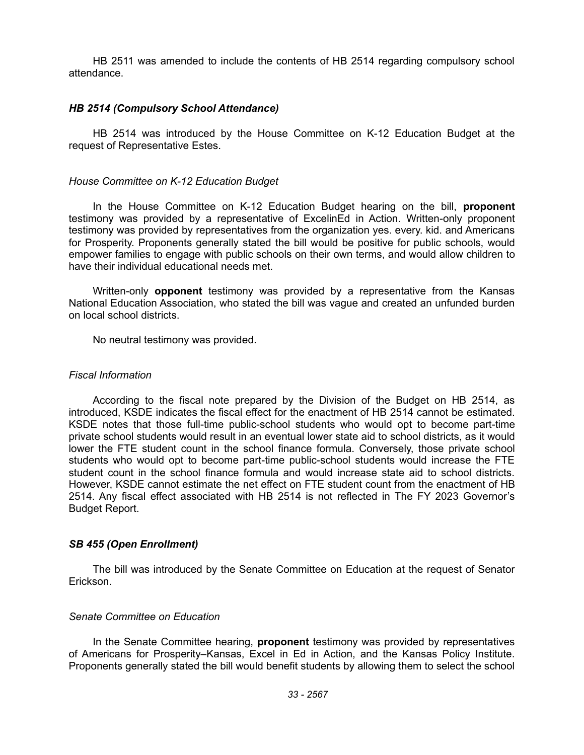HB 2511 was amended to include the contents of HB 2514 regarding compulsory school attendance.

### *HB 2514 (Compulsory School Attendance)*

HB 2514 was introduced by the House Committee on K-12 Education Budget at the request of Representative Estes.

### *House Committee on K-12 Education Budget*

In the House Committee on K-12 Education Budget hearing on the bill, **proponent** testimony was provided by a representative of ExcelinEd in Action. Written-only proponent testimony was provided by representatives from the organization yes. every. kid. and Americans for Prosperity. Proponents generally stated the bill would be positive for public schools, would empower families to engage with public schools on their own terms, and would allow children to have their individual educational needs met.

Written-only **opponent** testimony was provided by a representative from the Kansas National Education Association, who stated the bill was vague and created an unfunded burden on local school districts.

No neutral testimony was provided.

## *Fiscal Information*

According to the fiscal note prepared by the Division of the Budget on HB 2514, as introduced, KSDE indicates the fiscal effect for the enactment of HB 2514 cannot be estimated. KSDE notes that those full-time public-school students who would opt to become part-time private school students would result in an eventual lower state aid to school districts, as it would lower the FTE student count in the school finance formula. Conversely, those private school students who would opt to become part-time public-school students would increase the FTE student count in the school finance formula and would increase state aid to school districts. However, KSDE cannot estimate the net effect on FTE student count from the enactment of HB 2514. Any fiscal effect associated with HB 2514 is not reflected in The FY 2023 Governor's Budget Report.

# *SB 455 (Open Enrollment)*

The bill was introduced by the Senate Committee on Education at the request of Senator Erickson.

# *Senate Committee on Education*

In the Senate Committee hearing, **proponent** testimony was provided by representatives of Americans for Prosperity–Kansas, Excel in Ed in Action, and the Kansas Policy Institute. Proponents generally stated the bill would benefit students by allowing them to select the school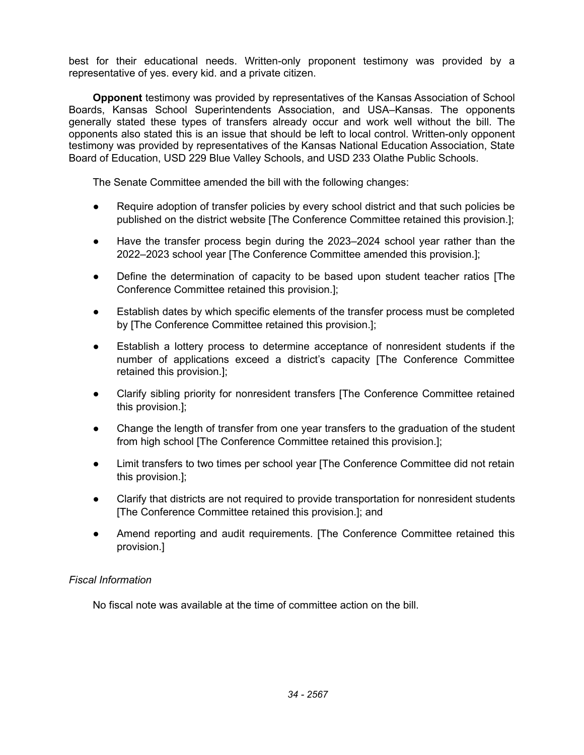best for their educational needs. Written-only proponent testimony was provided by a representative of yes. every kid. and a private citizen.

**Opponent** testimony was provided by representatives of the Kansas Association of School Boards, Kansas School Superintendents Association, and USA–Kansas. The opponents generally stated these types of transfers already occur and work well without the bill. The opponents also stated this is an issue that should be left to local control. Written-only opponent testimony was provided by representatives of the Kansas National Education Association, State Board of Education, USD 229 Blue Valley Schools, and USD 233 Olathe Public Schools.

The Senate Committee amended the bill with the following changes:

- Require adoption of transfer policies by every school district and that such policies be published on the district website [The Conference Committee retained this provision.];
- Have the transfer process begin during the 2023–2024 school year rather than the 2022–2023 school year [The Conference Committee amended this provision.];
- Define the determination of capacity to be based upon student teacher ratios [The Conference Committee retained this provision.];
- Establish dates by which specific elements of the transfer process must be completed by [The Conference Committee retained this provision.];
- Establish a lottery process to determine acceptance of nonresident students if the number of applications exceed a district's capacity [The Conference Committee retained this provision.];
- Clarify sibling priority for nonresident transfers [The Conference Committee retained this provision.];
- Change the length of transfer from one year transfers to the graduation of the student from high school [The Conference Committee retained this provision.];
- Limit transfers to two times per school year [The Conference Committee did not retain this provision.];
- Clarify that districts are not required to provide transportation for nonresident students [The Conference Committee retained this provision.]; and
- Amend reporting and audit requirements. [The Conference Committee retained this provision.]

# *Fiscal Information*

No fiscal note was available at the time of committee action on the bill.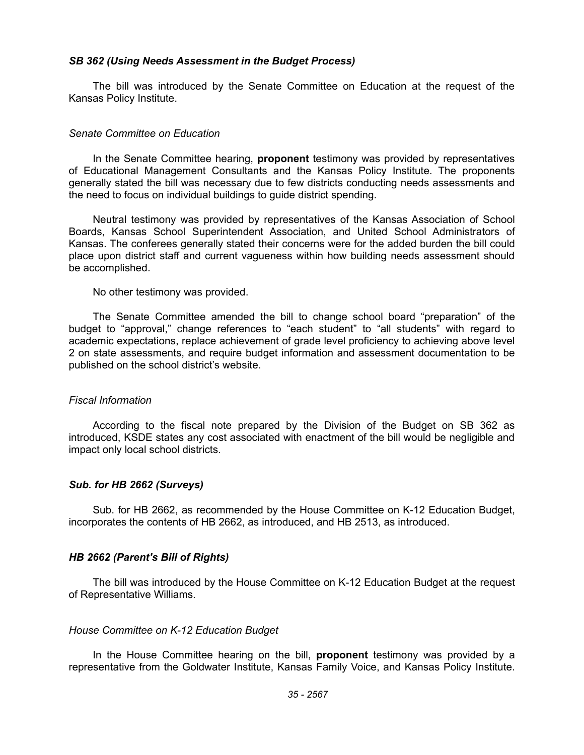### *SB 362 (Using Needs Assessment in the Budget Process)*

The bill was introduced by the Senate Committee on Education at the request of the Kansas Policy Institute.

## *Senate Committee on Education*

In the Senate Committee hearing, **proponent** testimony was provided by representatives of Educational Management Consultants and the Kansas Policy Institute. The proponents generally stated the bill was necessary due to few districts conducting needs assessments and the need to focus on individual buildings to guide district spending.

Neutral testimony was provided by representatives of the Kansas Association of School Boards, Kansas School Superintendent Association, and United School Administrators of Kansas. The conferees generally stated their concerns were for the added burden the bill could place upon district staff and current vagueness within how building needs assessment should be accomplished.

No other testimony was provided.

The Senate Committee amended the bill to change school board "preparation" of the budget to "approval," change references to "each student" to "all students" with regard to academic expectations, replace achievement of grade level proficiency to achieving above level 2 on state assessments, and require budget information and assessment documentation to be published on the school district's website.

#### *Fiscal Information*

According to the fiscal note prepared by the Division of the Budget on SB 362 as introduced, KSDE states any cost associated with enactment of the bill would be negligible and impact only local school districts.

#### *Sub. for HB 2662 (Surveys)*

Sub. for HB 2662, as recommended by the House Committee on K-12 Education Budget, incorporates the contents of HB 2662, as introduced, and HB 2513, as introduced.

#### *HB 2662 (Parent's Bill of Rights)*

The bill was introduced by the House Committee on K-12 Education Budget at the request of Representative Williams.

#### *House Committee on K-12 Education Budget*

In the House Committee hearing on the bill, **proponent** testimony was provided by a representative from the Goldwater Institute, Kansas Family Voice, and Kansas Policy Institute.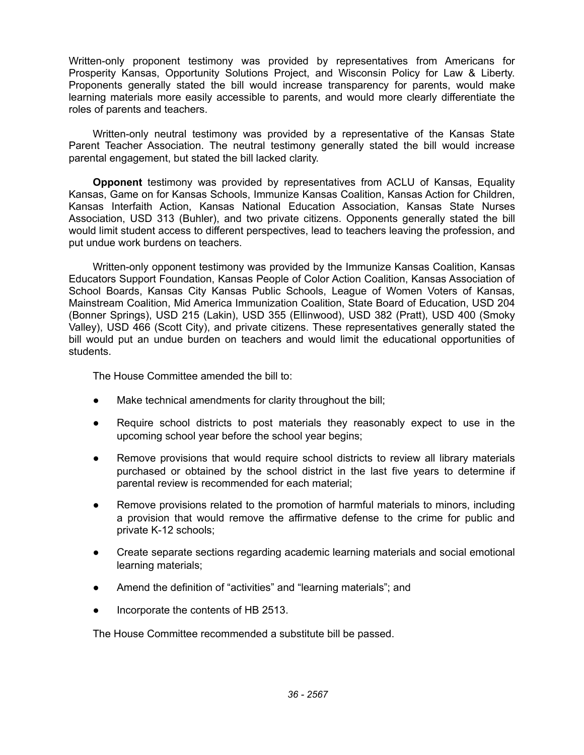Written-only proponent testimony was provided by representatives from Americans for Prosperity Kansas, Opportunity Solutions Project, and Wisconsin Policy for Law & Liberty. Proponents generally stated the bill would increase transparency for parents, would make learning materials more easily accessible to parents, and would more clearly differentiate the roles of parents and teachers.

Written-only neutral testimony was provided by a representative of the Kansas State Parent Teacher Association. The neutral testimony generally stated the bill would increase parental engagement, but stated the bill lacked clarity.

**Opponent** testimony was provided by representatives from ACLU of Kansas, Equality Kansas, Game on for Kansas Schools, Immunize Kansas Coalition, Kansas Action for Children, Kansas Interfaith Action, Kansas National Education Association, Kansas State Nurses Association, USD 313 (Buhler), and two private citizens. Opponents generally stated the bill would limit student access to different perspectives, lead to teachers leaving the profession, and put undue work burdens on teachers.

Written-only opponent testimony was provided by the Immunize Kansas Coalition, Kansas Educators Support Foundation, Kansas People of Color Action Coalition, Kansas Association of School Boards, Kansas City Kansas Public Schools, League of Women Voters of Kansas, Mainstream Coalition, Mid America Immunization Coalition, State Board of Education, USD 204 (Bonner Springs), USD 215 (Lakin), USD 355 (Ellinwood), USD 382 (Pratt), USD 400 (Smoky Valley), USD 466 (Scott City), and private citizens. These representatives generally stated the bill would put an undue burden on teachers and would limit the educational opportunities of students.

The House Committee amended the bill to:

- Make technical amendments for clarity throughout the bill;
- Require school districts to post materials they reasonably expect to use in the upcoming school year before the school year begins;
- Remove provisions that would require school districts to review all library materials purchased or obtained by the school district in the last five years to determine if parental review is recommended for each material;
- Remove provisions related to the promotion of harmful materials to minors, including a provision that would remove the affirmative defense to the crime for public and private K-12 schools;
- Create separate sections regarding academic learning materials and social emotional learning materials;
- Amend the definition of "activities" and "learning materials"; and
- Incorporate the contents of HB 2513.

The House Committee recommended a substitute bill be passed.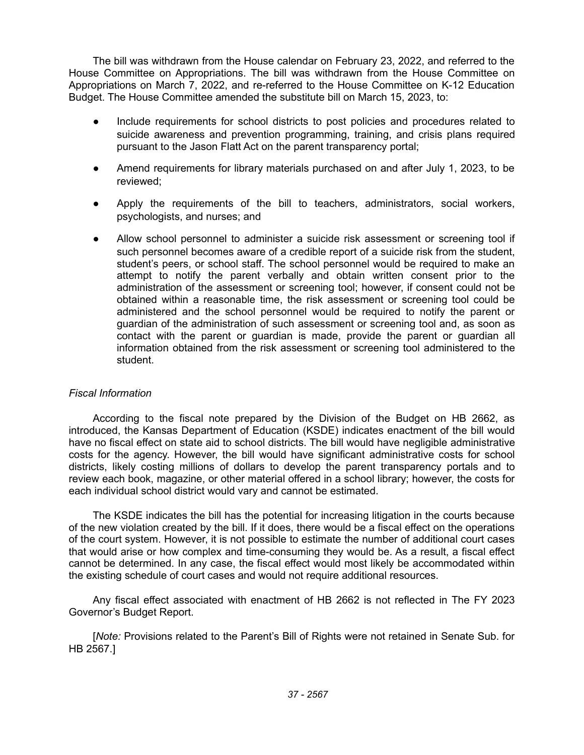The bill was withdrawn from the House calendar on February 23, 2022, and referred to the House Committee on Appropriations. The bill was withdrawn from the House Committee on Appropriations on March 7, 2022, and re-referred to the House Committee on K-12 Education Budget. The House Committee amended the substitute bill on March 15, 2023, to:

- Include requirements for school districts to post policies and procedures related to suicide awareness and prevention programming, training, and crisis plans required pursuant to the Jason Flatt Act on the parent transparency portal;
- Amend requirements for library materials purchased on and after July 1, 2023, to be reviewed;
- Apply the requirements of the bill to teachers, administrators, social workers, psychologists, and nurses; and
- Allow school personnel to administer a suicide risk assessment or screening tool if such personnel becomes aware of a credible report of a suicide risk from the student, student's peers, or school staff. The school personnel would be required to make an attempt to notify the parent verbally and obtain written consent prior to the administration of the assessment or screening tool; however, if consent could not be obtained within a reasonable time, the risk assessment or screening tool could be administered and the school personnel would be required to notify the parent or guardian of the administration of such assessment or screening tool and, as soon as contact with the parent or guardian is made, provide the parent or guardian all information obtained from the risk assessment or screening tool administered to the student.

# *Fiscal Information*

According to the fiscal note prepared by the Division of the Budget on HB 2662, as introduced, the Kansas Department of Education (KSDE) indicates enactment of the bill would have no fiscal effect on state aid to school districts. The bill would have negligible administrative costs for the agency. However, the bill would have significant administrative costs for school districts, likely costing millions of dollars to develop the parent transparency portals and to review each book, magazine, or other material offered in a school library; however, the costs for each individual school district would vary and cannot be estimated.

The KSDE indicates the bill has the potential for increasing litigation in the courts because of the new violation created by the bill. If it does, there would be a fiscal effect on the operations of the court system. However, it is not possible to estimate the number of additional court cases that would arise or how complex and time-consuming they would be. As a result, a fiscal effect cannot be determined. In any case, the fiscal effect would most likely be accommodated within the existing schedule of court cases and would not require additional resources.

Any fiscal effect associated with enactment of HB 2662 is not reflected in The FY 2023 Governor's Budget Report.

[*Note:* Provisions related to the Parent's Bill of Rights were not retained in Senate Sub. for HB 2567.]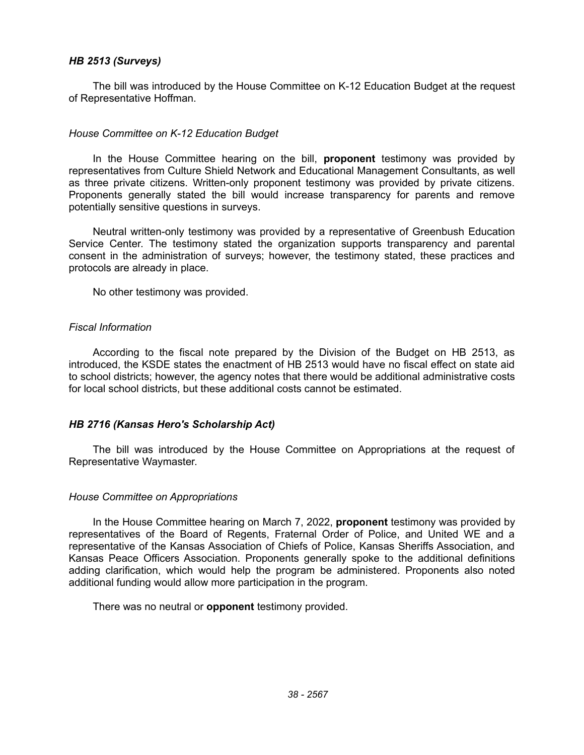# *HB 2513 (Surveys)*

The bill was introduced by the House Committee on K-12 Education Budget at the request of Representative Hoffman.

## *House Committee on K-12 Education Budget*

In the House Committee hearing on the bill, **proponent** testimony was provided by representatives from Culture Shield Network and Educational Management Consultants, as well as three private citizens. Written-only proponent testimony was provided by private citizens. Proponents generally stated the bill would increase transparency for parents and remove potentially sensitive questions in surveys.

Neutral written-only testimony was provided by a representative of Greenbush Education Service Center. The testimony stated the organization supports transparency and parental consent in the administration of surveys; however, the testimony stated, these practices and protocols are already in place.

No other testimony was provided.

## *Fiscal Information*

According to the fiscal note prepared by the Division of the Budget on HB 2513, as introduced, the KSDE states the enactment of HB 2513 would have no fiscal effect on state aid to school districts; however, the agency notes that there would be additional administrative costs for local school districts, but these additional costs cannot be estimated.

# *HB 2716 (Kansas Hero's Scholarship Act)*

The bill was introduced by the House Committee on Appropriations at the request of Representative Waymaster.

#### *House Committee on Appropriations*

In the House Committee hearing on March 7, 2022, **proponent** testimony was provided by representatives of the Board of Regents, Fraternal Order of Police, and United WE and a representative of the Kansas Association of Chiefs of Police, Kansas Sheriffs Association, and Kansas Peace Officers Association. Proponents generally spoke to the additional definitions adding clarification, which would help the program be administered. Proponents also noted additional funding would allow more participation in the program.

There was no neutral or **opponent** testimony provided.